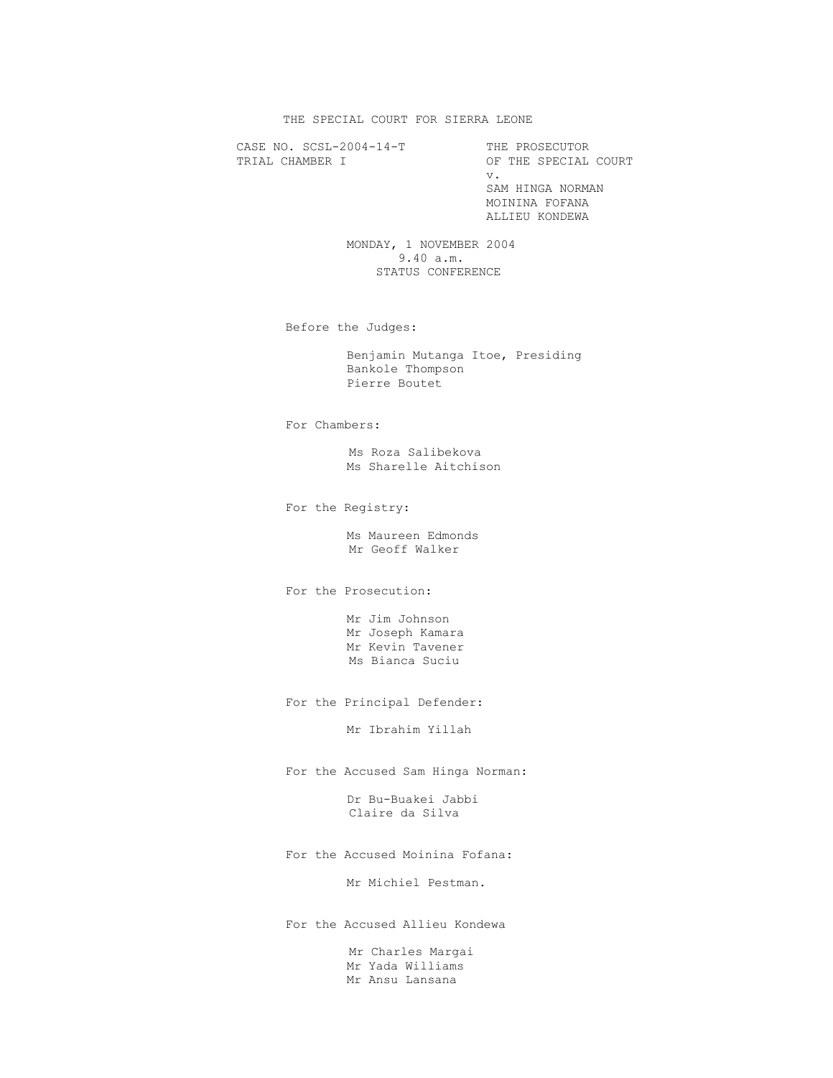THE SPECIAL COURT FOR SIERRA LEONE

CASE NO. SCSL-2004-14-T THE PROSECUTOR<br>TRIAL CHAMBER I OF THE SPECIAL

OF THE SPECIAL COURT v. SAM HINGA NORMAN MOININA FOFANA ALLIEU KONDEWA

> MONDAY, 1 NOVEMBER 2004 9.40 a.m. STATUS CONFERENCE

Before the Judges:

 Benjamin Mutanga Itoe, Presiding Bankole Thompson Pierre Boutet

For Chambers:

 Ms Roza Salibekova Ms Sharelle Aitchison

For the Registry:

 Ms Maureen Edmonds Mr Geoff Walker

For the Prosecution:

 Mr Jim Johnson Mr Joseph Kamara Mr Kevin Tavener Ms Bianca Suciu

For the Principal Defender:

Mr Ibrahim Yillah

For the Accused Sam Hinga Norman:

 Dr Bu-Buakei Jabbi Claire da Silva

For the Accused Moinina Fofana:

Mr Michiel Pestman.

For the Accused Allieu Kondewa

 Mr Charles Margai Mr Yada Williams Mr Ansu Lansana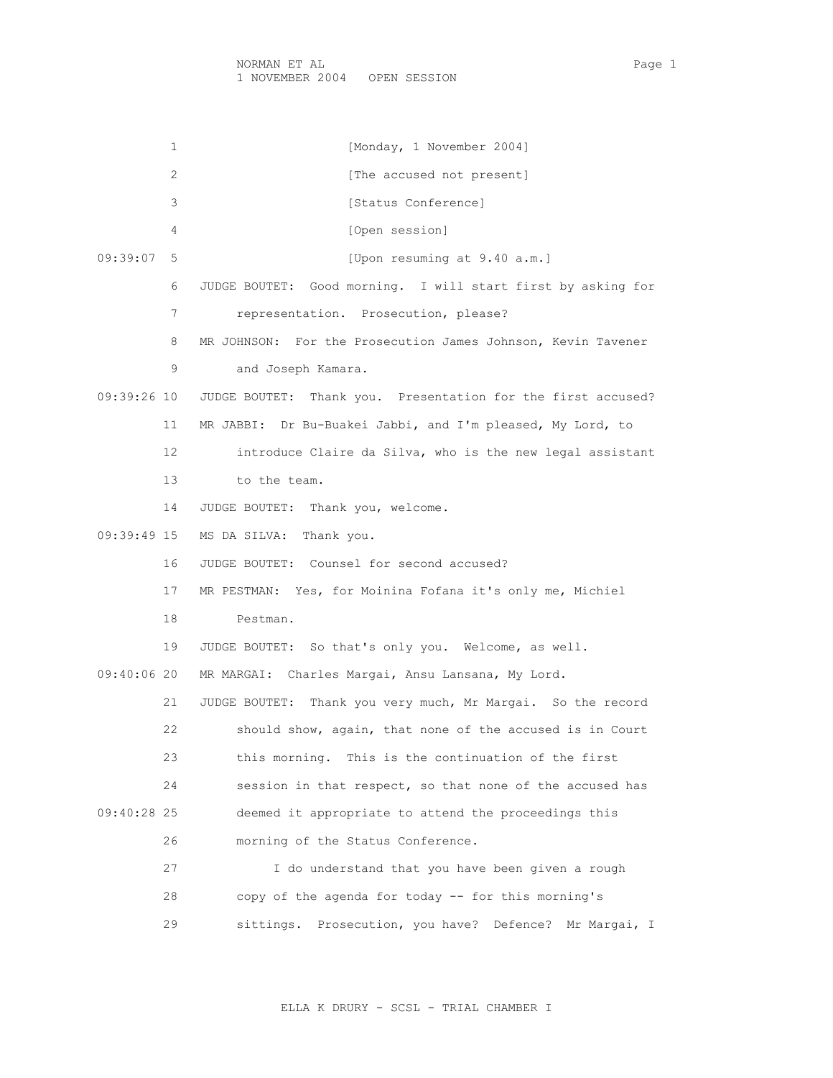1 [Monday, 1 November 2004] 2 [The accused not present] 3 [Status Conference] 4 [Open session] 09:39:07 5 [Upon resuming at 9.40 a.m.] 6 JUDGE BOUTET: Good morning. I will start first by asking for 7 representation. Prosecution, please? 8 MR JOHNSON: For the Prosecution James Johnson, Kevin Tavener 9 and Joseph Kamara. 09:39:26 10 JUDGE BOUTET: Thank you. Presentation for the first accused? 11 MR JABBI: Dr Bu-Buakei Jabbi, and I'm pleased, My Lord, to 12 introduce Claire da Silva, who is the new legal assistant 13 to the team. 14 JUDGE BOUTET: Thank you, welcome. 09:39:49 15 MS DA SILVA: Thank you. 16 JUDGE BOUTET: Counsel for second accused? 17 MR PESTMAN: Yes, for Moinina Fofana it's only me, Michiel 18 Pestman. 19 JUDGE BOUTET: So that's only you. Welcome, as well. 09:40:06 20 MR MARGAI: Charles Margai, Ansu Lansana, My Lord. 21 JUDGE BOUTET: Thank you very much, Mr Margai. So the record 22 should show, again, that none of the accused is in Court 23 this morning. This is the continuation of the first 24 session in that respect, so that none of the accused has 09:40:28 25 deemed it appropriate to attend the proceedings this 26 morning of the Status Conference. 27 I do understand that you have been given a rough 28 copy of the agenda for today -- for this morning's 29 sittings. Prosecution, you have? Defence? Mr Margai, I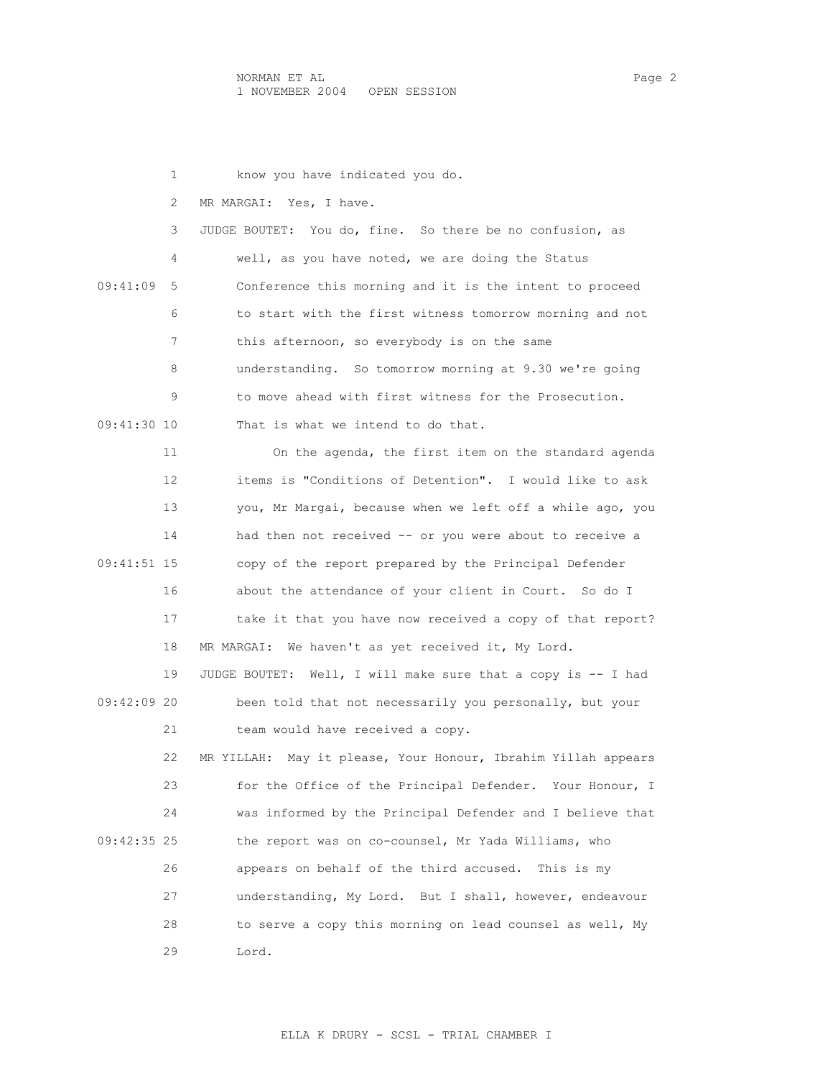1 know you have indicated you do. 2 MR MARGAI: Yes, I have. 3 JUDGE BOUTET: You do, fine. So there be no confusion, as 4 well, as you have noted, we are doing the Status 09:41:09 5 Conference this morning and it is the intent to proceed 6 to start with the first witness tomorrow morning and not 7 this afternoon, so everybody is on the same 8 understanding. So tomorrow morning at 9.30 we're going 9 to move ahead with first witness for the Prosecution. 09:41:30 10 That is what we intend to do that. 11 On the agenda, the first item on the standard agenda 12 items is "Conditions of Detention". I would like to ask 13 you, Mr Margai, because when we left off a while ago, you 14 had then not received -- or you were about to receive a 09:41:51 15 copy of the report prepared by the Principal Defender 16 about the attendance of your client in Court. So do I 17 take it that you have now received a copy of that report? 18 MR MARGAI: We haven't as yet received it, My Lord. 19 JUDGE BOUTET: Well, I will make sure that a copy is -- I had 09:42:09 20 been told that not necessarily you personally, but your 21 team would have received a copy. 22 MR YILLAH: May it please, Your Honour, Ibrahim Yillah appears 23 for the Office of the Principal Defender. Your Honour, I 24 was informed by the Principal Defender and I believe that 09:42:35 25 the report was on co-counsel, Mr Yada Williams, who 26 appears on behalf of the third accused. This is my 27 understanding, My Lord. But I shall, however, endeavour 28 to serve a copy this morning on lead counsel as well, My 29 Lord.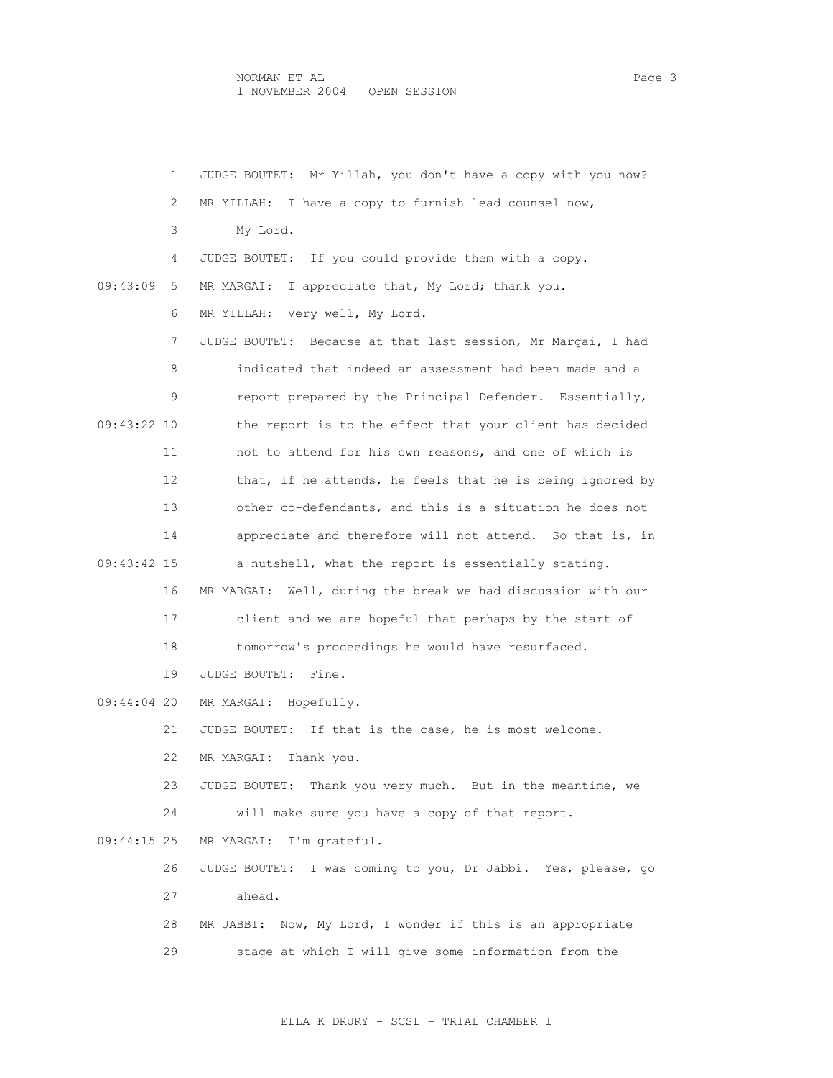|               | 1  | JUDGE BOUTET: Mr Yillah, you don't have a copy with you now?    |
|---------------|----|-----------------------------------------------------------------|
|               | 2  | I have a copy to furnish lead counsel now,<br>MR YILLAH:        |
|               | 3  | My Lord.                                                        |
|               | 4  | JUDGE BOUTET: If you could provide them with a copy.            |
| 09:43:09      | 5  | I appreciate that, My Lord; thank you.<br>MR MARGAI:            |
|               | 6  | Very well, My Lord.<br>MR YILLAH:                               |
|               | 7  | JUDGE BOUTET: Because at that last session, Mr Margai, I had    |
|               | 8  | indicated that indeed an assessment had been made and a         |
|               | 9  | report prepared by the Principal Defender. Essentially,         |
| 09:43:22 10   |    | the report is to the effect that your client has decided        |
|               | 11 | not to attend for his own reasons, and one of which is          |
|               | 12 | that, if he attends, he feels that he is being ignored by       |
|               | 13 | other co-defendants, and this is a situation he does not        |
|               | 14 | appreciate and therefore will not attend. So that is, in        |
| 09:43:42 15   |    | a nutshell, what the report is essentially stating.             |
|               | 16 | MR MARGAI:<br>Well, during the break we had discussion with our |
|               | 17 | client and we are hopeful that perhaps by the start of          |
|               | 18 | tomorrow's proceedings he would have resurfaced.                |
|               | 19 | JUDGE BOUTET:<br>Fine.                                          |
| 09:44:04 20   |    | MR MARGAI: Hopefully.                                           |
|               | 21 | JUDGE BOUTET: If that is the case, he is most welcome.          |
|               | 22 | MR MARGAI:<br>Thank you.                                        |
|               | 23 | JUDGE BOUTET: Thank you very much. But in the meantime, we      |
|               | 24 | will make sure you have a copy of that report.                  |
| $09:44:15$ 25 |    | MR MARGAI:<br>I'm grateful.                                     |
|               | 26 | JUDGE BOUTET: I was coming to you, Dr Jabbi. Yes, please, go    |
|               | 27 | ahead.                                                          |
|               | 28 | MR JABBI: Now, My Lord, I wonder if this is an appropriate      |
|               | 29 | stage at which I will give some information from the            |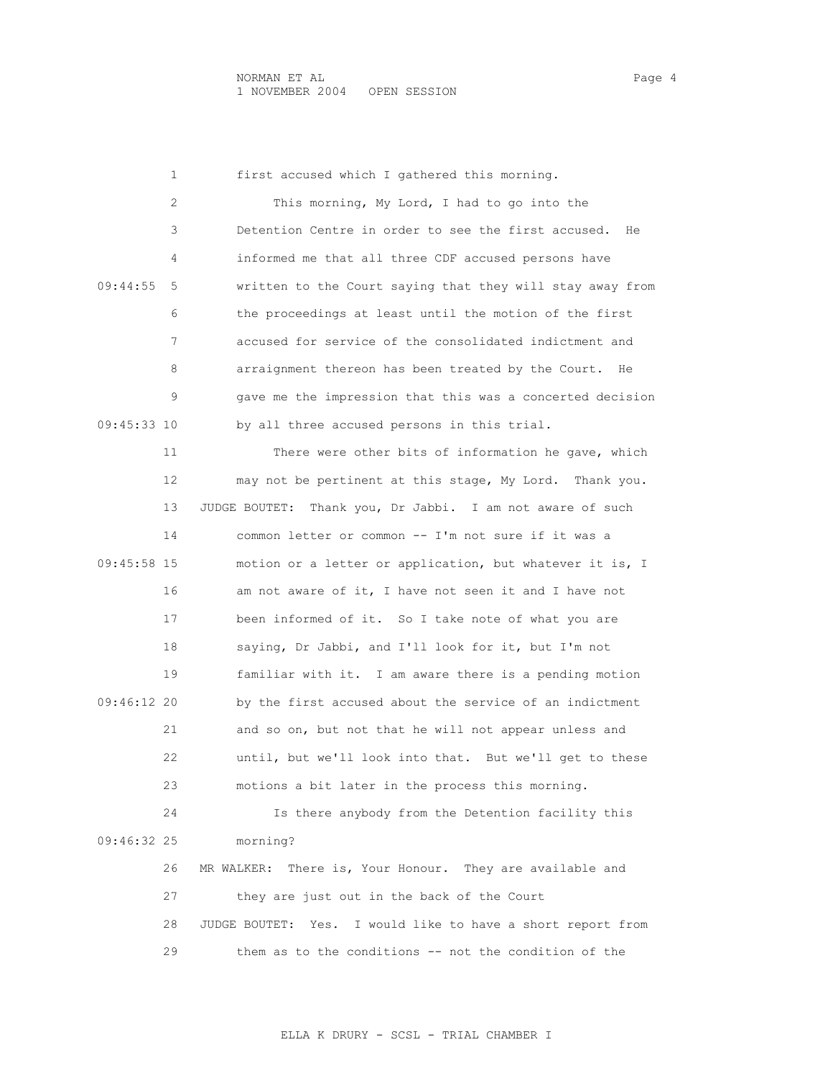|             | 1  | first accused which I gathered this morning.                   |
|-------------|----|----------------------------------------------------------------|
|             | 2  | This morning, My Lord, I had to go into the                    |
|             | 3  | Detention Centre in order to see the first accused.<br>He      |
|             | 4  | informed me that all three CDF accused persons have            |
| 09:44:55    | 5  | written to the Court saying that they will stay away from      |
|             | 6  | the proceedings at least until the motion of the first         |
|             | 7  | accused for service of the consolidated indictment and         |
|             | 8  | arraignment thereon has been treated by the Court.<br>He       |
|             | 9  | gave me the impression that this was a concerted decision      |
| 09:45:33 10 |    | by all three accused persons in this trial.                    |
|             | 11 | There were other bits of information he gave, which            |
|             | 12 | may not be pertinent at this stage, My Lord. Thank you.        |
|             | 13 | Thank you, Dr Jabbi. I am not aware of such<br>JUDGE BOUTET:   |
|             | 14 | common letter or common -- I'm not sure if it was a            |
| 09:45:58 15 |    | motion or a letter or application, but whatever it is, I       |
|             | 16 | am not aware of it, I have not seen it and I have not          |
|             | 17 | been informed of it. So I take note of what you are            |
|             | 18 | saying, Dr Jabbi, and I'll look for it, but I'm not            |
|             | 19 | familiar with it. I am aware there is a pending motion         |
| 09:46:12 20 |    | by the first accused about the service of an indictment        |
|             | 21 | and so on, but not that he will not appear unless and          |
|             | 22 | until, but we'll look into that. But we'll get to these        |
|             | 23 | motions a bit later in the process this morning.               |
|             | 24 | Is there anybody from the Detention facility this              |
| 09:46:32 25 |    | morning?                                                       |
|             | 26 | MR WALKER: There is, Your Honour. They are available and       |
|             | 27 | they are just out in the back of the Court                     |
|             | 28 | JUDGE BOUTET:<br>Yes. I would like to have a short report from |
|             | 29 | them as to the conditions -- not the condition of the          |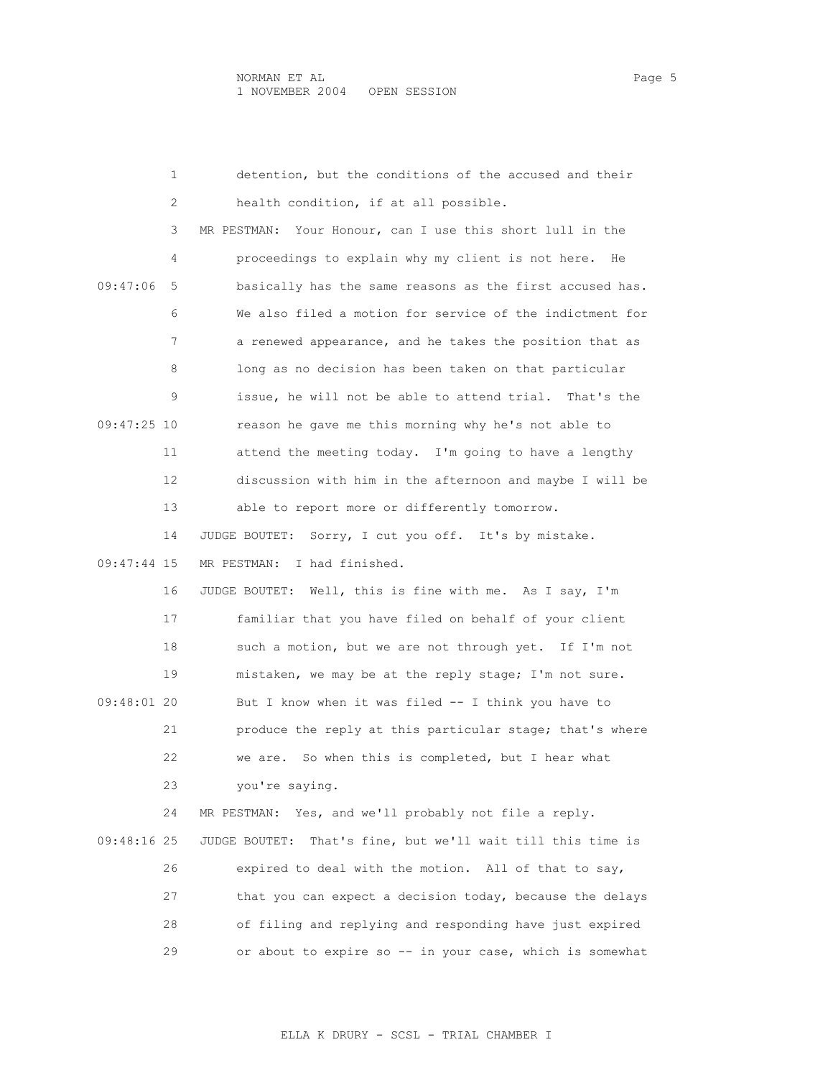|             | 1  | detention, but the conditions of the accused and their         |
|-------------|----|----------------------------------------------------------------|
|             | 2  | health condition, if at all possible.                          |
|             | 3  | Your Honour, can I use this short lull in the<br>MR PESTMAN:   |
|             | 4  | proceedings to explain why my client is not here.<br>He        |
| 09:47:06    | 5  | basically has the same reasons as the first accused has.       |
|             | 6  | We also filed a motion for service of the indictment for       |
|             | 7  | a renewed appearance, and he takes the position that as        |
|             | 8  | long as no decision has been taken on that particular          |
|             | 9  | issue, he will not be able to attend trial. That's the         |
| 09:47:25 10 |    | reason he gave me this morning why he's not able to            |
|             | 11 | attend the meeting today. I'm going to have a lengthy          |
|             | 12 | discussion with him in the afternoon and maybe I will be       |
|             | 13 | able to report more or differently tomorrow.                   |
|             | 14 | JUDGE BOUTET: Sorry, I cut you off. It's by mistake.           |
| 09:47:44 15 |    | I had finished.<br>MR PESTMAN:                                 |
|             | 16 | Well, this is fine with me. As I say, I'm<br>JUDGE BOUTET:     |
|             | 17 | familiar that you have filed on behalf of your client          |
|             | 18 | such a motion, but we are not through yet. If I'm not          |
|             | 19 | mistaken, we may be at the reply stage; I'm not sure.          |
| 09:48:01 20 |    | But I know when it was filed -- I think you have to            |
|             | 21 | produce the reply at this particular stage; that's where       |
|             | 22 | So when this is completed, but I hear what<br>we are.          |
|             | 23 | you're saying.                                                 |
|             | 24 | Yes, and we'll probably not file a reply.<br>MR PESTMAN:       |
| 09:48:16 25 |    | That's fine, but we'll wait till this time is<br>JUDGE BOUTET: |
|             | 26 | expired to deal with the motion. All of that to say,           |
|             | 27 | that you can expect a decision today, because the delays       |
|             | 28 | of filing and replying and responding have just expired        |
|             | 29 | or about to expire so -- in your case, which is somewhat       |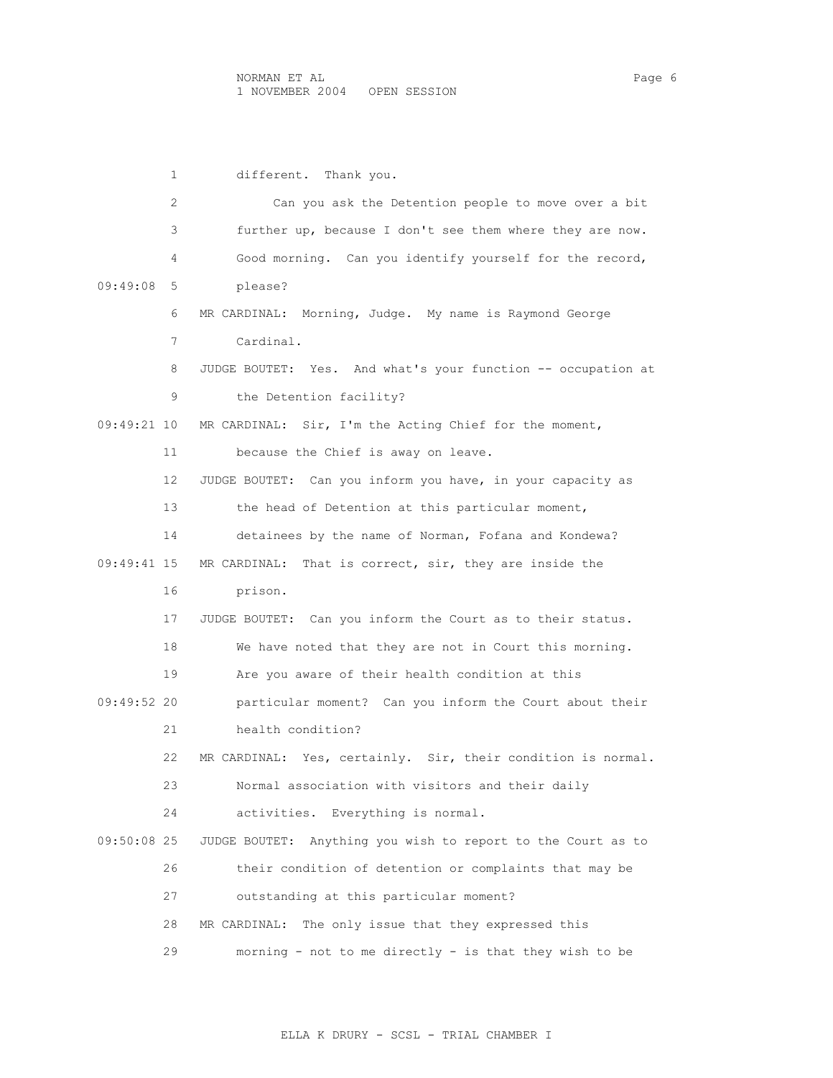1 different. Thank you. 2 Can you ask the Detention people to move over a bit 3 further up, because I don't see them where they are now. 4 Good morning. Can you identify yourself for the record, 09:49:08 5 please? 6 MR CARDINAL: Morning, Judge. My name is Raymond George 7 Cardinal. 8 JUDGE BOUTET: Yes. And what's your function -- occupation at 9 the Detention facility? 09:49:21 10 MR CARDINAL: Sir, I'm the Acting Chief for the moment, 11 because the Chief is away on leave. 12 JUDGE BOUTET: Can you inform you have, in your capacity as 13 the head of Detention at this particular moment, 14 detainees by the name of Norman, Fofana and Kondewa? 09:49:41 15 MR CARDINAL: That is correct, sir, they are inside the 16 prison. 17 JUDGE BOUTET: Can you inform the Court as to their status. 18 We have noted that they are not in Court this morning. 19 Are you aware of their health condition at this 09:49:52 20 particular moment? Can you inform the Court about their 21 health condition? 22 MR CARDINAL: Yes, certainly. Sir, their condition is normal. 23 Normal association with visitors and their daily 24 activities. Everything is normal. 09:50:08 25 JUDGE BOUTET: Anything you wish to report to the Court as to 26 their condition of detention or complaints that may be 27 outstanding at this particular moment? 28 MR CARDINAL: The only issue that they expressed this 29 morning - not to me directly - is that they wish to be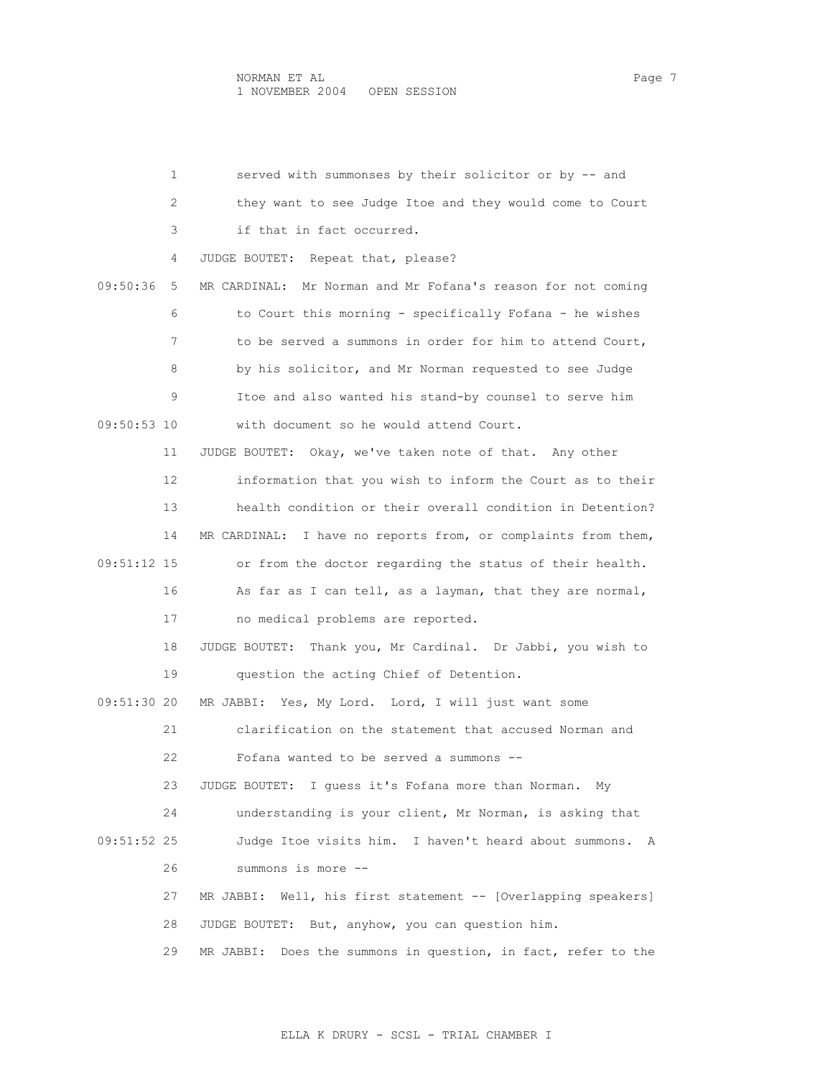1 served with summonses by their solicitor or by -- and 2 they want to see Judge Itoe and they would come to Court 3 if that in fact occurred. 4 JUDGE BOUTET: Repeat that, please? 09:50:36 5 MR CARDINAL: Mr Norman and Mr Fofana's reason for not coming 6 to Court this morning - specifically Fofana - he wishes 7 to be served a summons in order for him to attend Court, 8 by his solicitor, and Mr Norman requested to see Judge 9 Itoe and also wanted his stand-by counsel to serve him 09:50:53 10 with document so he would attend Court. 11 JUDGE BOUTET: Okay, we've taken note of that. Any other 12 information that you wish to inform the Court as to their 13 health condition or their overall condition in Detention? 14 MR CARDINAL: I have no reports from, or complaints from them, 09:51:12 15 or from the doctor regarding the status of their health. 16 As far as I can tell, as a layman, that they are normal, 17 no medical problems are reported. 18 JUDGE BOUTET: Thank you, Mr Cardinal. Dr Jabbi, you wish to 19 question the acting Chief of Detention. 09:51:30 20 MR JABBI: Yes, My Lord. Lord, I will just want some 21 clarification on the statement that accused Norman and 22 Fofana wanted to be served a summons -- 23 JUDGE BOUTET: I guess it's Fofana more than Norman. My 24 understanding is your client, Mr Norman, is asking that 09:51:52 25 Judge Itoe visits him. I haven't heard about summons. A 26 summons is more -- 27 MR JABBI: Well, his first statement -- [Overlapping speakers] 28 JUDGE BOUTET: But, anyhow, you can question him. 29 MR JABBI: Does the summons in question, in fact, refer to the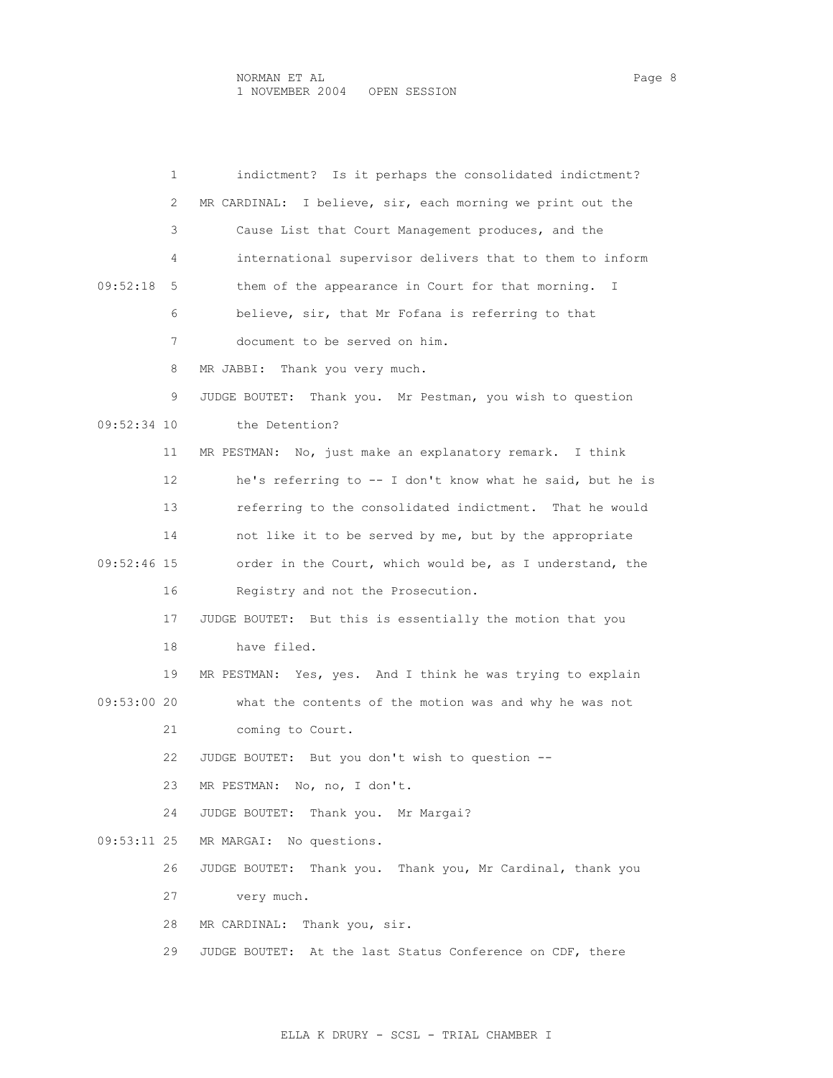1 indictment? Is it perhaps the consolidated indictment? 2 MR CARDINAL: I believe, sir, each morning we print out the 3 Cause List that Court Management produces, and the 4 international supervisor delivers that to them to inform 09:52:18 5 them of the appearance in Court for that morning. I 6 believe, sir, that Mr Fofana is referring to that 7 document to be served on him. 8 MR JABBI: Thank you very much. 9 JUDGE BOUTET: Thank you. Mr Pestman, you wish to question 09:52:34 10 the Detention? 11 MR PESTMAN: No, just make an explanatory remark. I think 12 he's referring to -- I don't know what he said, but he is 13 referring to the consolidated indictment. That he would 14 not like it to be served by me, but by the appropriate 09:52:46 15 order in the Court, which would be, as I understand, the 16 Registry and not the Prosecution. 17 JUDGE BOUTET: But this is essentially the motion that you 18 have filed. 19 MR PESTMAN: Yes, yes. And I think he was trying to explain 09:53:00 20 what the contents of the motion was and why he was not 21 coming to Court. 22 JUDGE BOUTET: But you don't wish to question -- 23 MR PESTMAN: No, no, I don't. 24 JUDGE BOUTET: Thank you. Mr Margai? 09:53:11 25 MR MARGAI: No questions. 26 JUDGE BOUTET: Thank you. Thank you, Mr Cardinal, thank you 27 very much. 28 MR CARDINAL: Thank you, sir. 29 JUDGE BOUTET: At the last Status Conference on CDF, there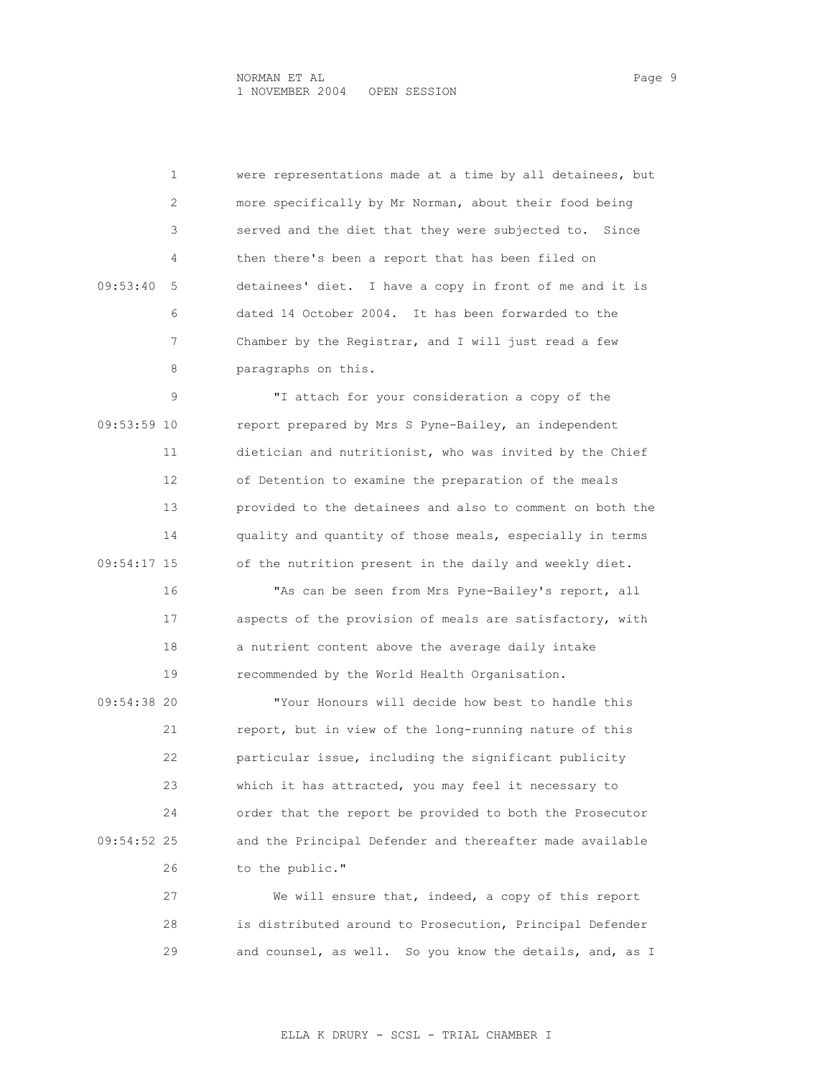1 were representations made at a time by all detainees, but 2 more specifically by Mr Norman, about their food being 3 served and the diet that they were subjected to. Since 4 then there's been a report that has been filed on 09:53:40 5 detainees' diet. I have a copy in front of me and it is 6 dated 14 October 2004. It has been forwarded to the 7 Chamber by the Registrar, and I will just read a few 8 paragraphs on this.

 9 "I attach for your consideration a copy of the 09:53:59 10 report prepared by Mrs S Pyne-Bailey, an independent 11 dietician and nutritionist, who was invited by the Chief 12 of Detention to examine the preparation of the meals 13 provided to the detainees and also to comment on both the 14 quality and quantity of those meals, especially in terms 09:54:17 15 of the nutrition present in the daily and weekly diet.

 16 "As can be seen from Mrs Pyne-Bailey's report, all 17 aspects of the provision of meals are satisfactory, with 18 a nutrient content above the average daily intake 19 recommended by the World Health Organisation.

 09:54:38 20 "Your Honours will decide how best to handle this 21 report, but in view of the long-running nature of this 22 particular issue, including the significant publicity 23 which it has attracted, you may feel it necessary to 24 order that the report be provided to both the Prosecutor 09:54:52 25 and the Principal Defender and thereafter made available 26 to the public."

> 27 We will ensure that, indeed, a copy of this report 28 is distributed around to Prosecution, Principal Defender 29 and counsel, as well. So you know the details, and, as I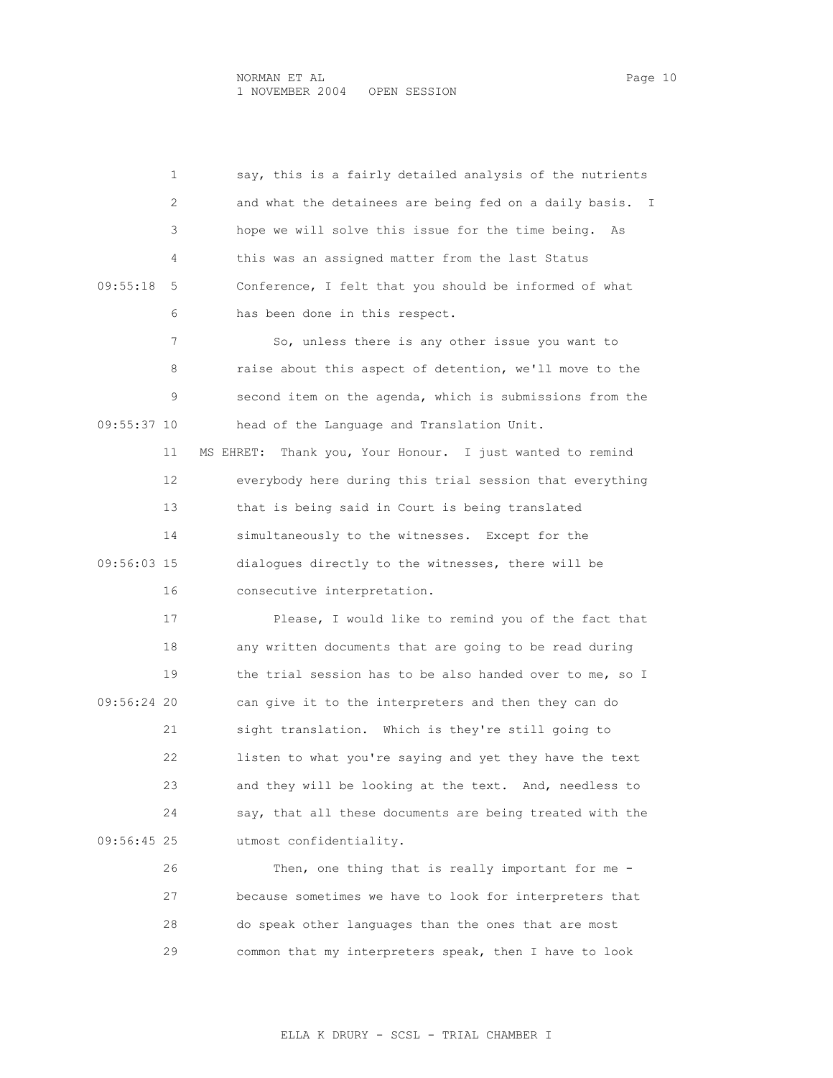1 say, this is a fairly detailed analysis of the nutrients 2 and what the detainees are being fed on a daily basis. I 3 hope we will solve this issue for the time being. As 4 this was an assigned matter from the last Status 09:55:18 5 Conference, I felt that you should be informed of what 6 has been done in this respect. 7 So, unless there is any other issue you want to 8 raise about this aspect of detention, we'll move to the 9 second item on the agenda, which is submissions from the 09:55:37 10 head of the Language and Translation Unit. 11 MS EHRET: Thank you, Your Honour. I just wanted to remind 12 everybody here during this trial session that everything 13 that is being said in Court is being translated 14 simultaneously to the witnesses. Except for the 09:56:03 15 dialogues directly to the witnesses, there will be 16 consecutive interpretation. 17 Please, I would like to remind you of the fact that 18 any written documents that are going to be read during 19 the trial session has to be also handed over to me, so I 09:56:24 20 can give it to the interpreters and then they can do 21 sight translation. Which is they're still going to 22 listen to what you're saying and yet they have the text 23 and they will be looking at the text. And, needless to 24 say, that all these documents are being treated with the 09:56:45 25 utmost confidentiality. 26 Then, one thing that is really important for me -

 27 because sometimes we have to look for interpreters that 28 do speak other languages than the ones that are most 29 common that my interpreters speak, then I have to look

ELLA K DRURY - SCSL - TRIAL CHAMBER I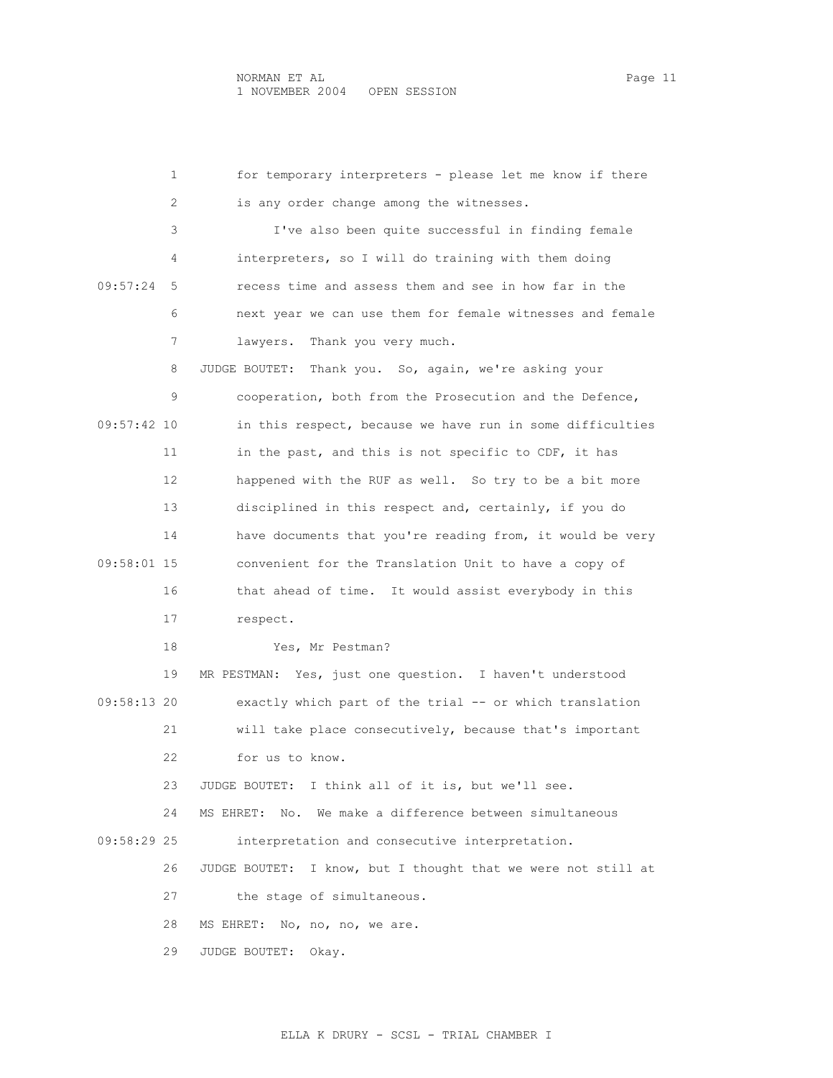1 for temporary interpreters - please let me know if there 2 is any order change among the witnesses. 3 I've also been quite successful in finding female 4 interpreters, so I will do training with them doing 09:57:24 5 recess time and assess them and see in how far in the 6 next year we can use them for female witnesses and female 7 lawyers. Thank you very much. 8 JUDGE BOUTET: Thank you. So, again, we're asking your 9 cooperation, both from the Prosecution and the Defence, 09:57:42 10 in this respect, because we have run in some difficulties 11 in the past, and this is not specific to CDF, it has 12 happened with the RUF as well. So try to be a bit more 13 disciplined in this respect and, certainly, if you do 14 have documents that you're reading from, it would be very 09:58:01 15 convenient for the Translation Unit to have a copy of 16 that ahead of time. It would assist everybody in this 17 respect. 18 Yes, Mr Pestman? 19 MR PESTMAN: Yes, just one question. I haven't understood 09:58:13 20 exactly which part of the trial -- or which translation 21 will take place consecutively, because that's important 22 for us to know. 23 JUDGE BOUTET: I think all of it is, but we'll see. 24 MS EHRET: No. We make a difference between simultaneous 09:58:29 25 interpretation and consecutive interpretation. 26 JUDGE BOUTET: I know, but I thought that we were not still at 27 the stage of simultaneous. 28 MS EHRET: No, no, no, we are. 29 JUDGE BOUTET: Okay.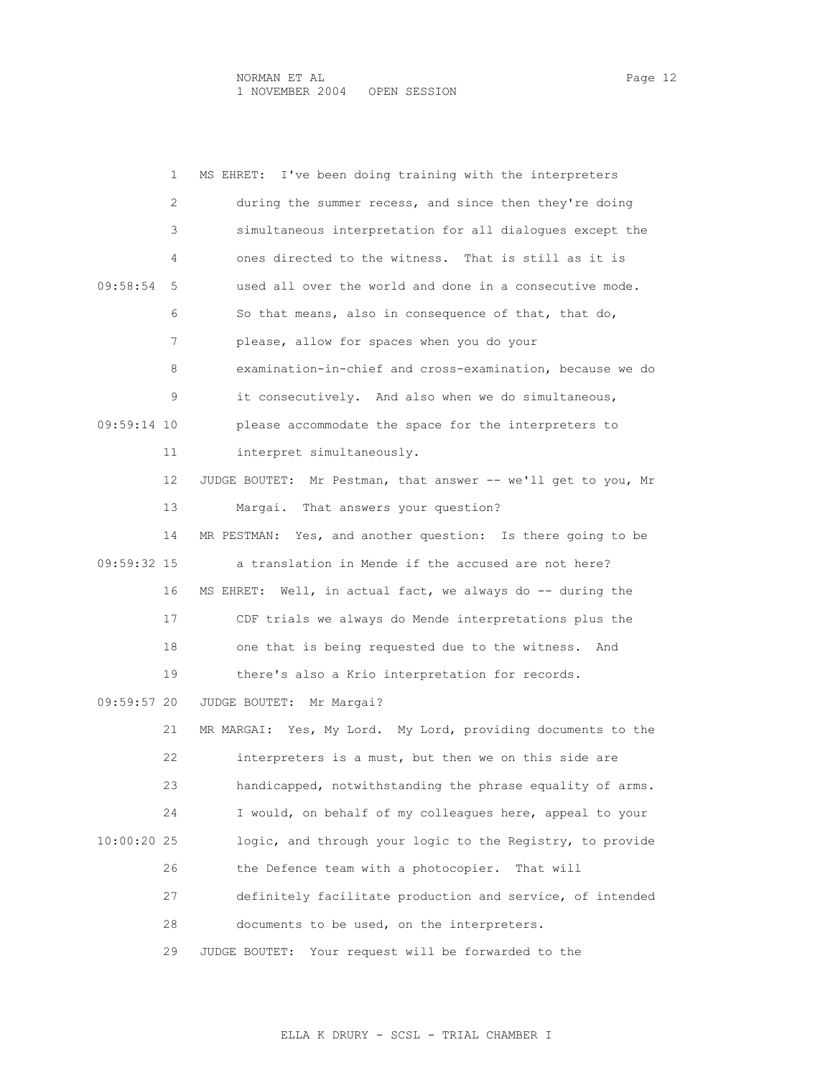|             | 1<br>MS EHRET: I've been doing training with the interpreters  |
|-------------|----------------------------------------------------------------|
|             | during the summer recess, and since then they're doing<br>2    |
|             | simultaneous interpretation for all dialogues except the<br>3. |
|             | ones directed to the witness. That is still as it is<br>4      |
| 09:58:54    | used all over the world and done in a consecutive mode.<br>5.  |
|             | 6<br>So that means, also in consequence of that, that do,      |
|             | 7<br>please, allow for spaces when you do your                 |
|             | examination-in-chief and cross-examination, because we do<br>8 |
|             | it consecutively. And also when we do simultaneous,<br>9       |
| 09:59:14 10 | please accommodate the space for the interpreters to           |
| 11          | interpret simultaneously.                                      |
| 12          | JUDGE BOUTET: Mr Pestman, that answer -- we'll get to you, Mr  |
| 13          | Margai. That answers your question?                            |
| 14          | MR PESTMAN: Yes, and another question: Is there going to be    |
| 09:59:32 15 | a translation in Mende if the accused are not here?            |
| 16          | MS EHRET:<br>Well, in actual fact, we always do -- during the  |
| 17          | CDF trials we always do Mende interpretations plus the         |
| 18          | one that is being requested due to the witness. And            |
| 19          | there's also a Krio interpretation for records.                |
| 09:59:57 20 | JUDGE BOUTET: Mr Margai?                                       |
| 21          | MR MARGAI: Yes, My Lord. My Lord, providing documents to the   |
| 22          | interpreters is a must, but then we on this side are           |
| 23          | handicapped, notwithstanding the phrase equality of arms.      |
| 24          | I would, on behalf of my colleagues here, appeal to your       |
| 10:00:20 25 | logic, and through your logic to the Registry, to provide      |
| 26          | the Defence team with a photocopier.<br>That will              |
| 27          | definitely facilitate production and service, of intended      |
| 28          | documents to be used, on the interpreters.                     |
| 29          | JUDGE BOUTET:<br>Your request will be forwarded to the         |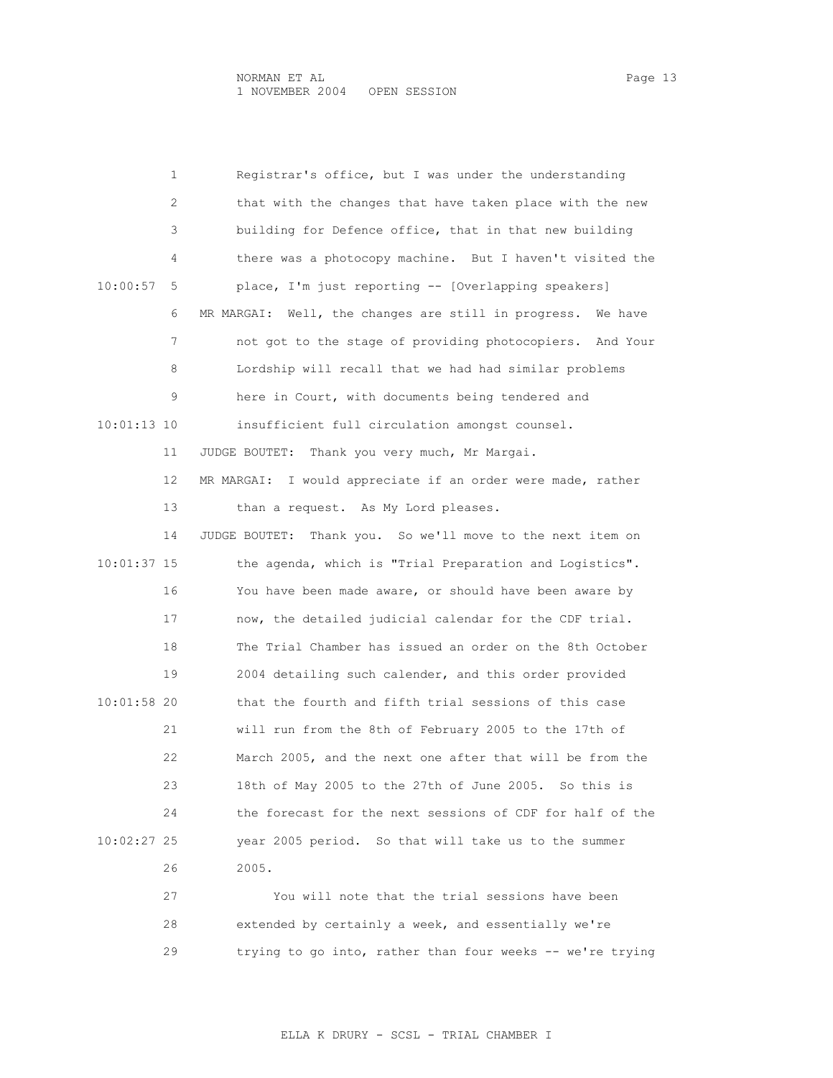|               | 1  | Registrar's office, but I was under the understanding          |
|---------------|----|----------------------------------------------------------------|
|               | 2  | that with the changes that have taken place with the new       |
|               | 3  | building for Defence office, that in that new building         |
|               | 4  | there was a photocopy machine. But I haven't visited the       |
| 10:00:57      | 5  | place, I'm just reporting -- [Overlapping speakers]            |
|               | 6  | MR MARGAI: Well, the changes are still in progress.<br>We have |
|               | 7  | not got to the stage of providing photocopiers.<br>And Your    |
|               | 8  | Lordship will recall that we had had similar problems          |
|               | 9  | here in Court, with documents being tendered and               |
| $10:01:13$ 10 |    | insufficient full circulation amongst counsel.                 |
|               | 11 | Thank you very much, Mr Margai.<br>JUDGE BOUTET:               |
|               | 12 | I would appreciate if an order were made, rather<br>MR MARGAI: |
|               | 13 | than a request. As My Lord pleases.                            |
|               | 14 | Thank you. So we'll move to the next item on<br>JUDGE BOUTET:  |
| 10:01:37 15   |    | the agenda, which is "Trial Preparation and Logistics".        |
|               | 16 | You have been made aware, or should have been aware by         |
|               | 17 | now, the detailed judicial calendar for the CDF trial.         |
|               | 18 | The Trial Chamber has issued an order on the 8th October       |
|               | 19 | 2004 detailing such calender, and this order provided          |
| 10:01:58 20   |    | that the fourth and fifth trial sessions of this case          |
|               | 21 | will run from the 8th of February 2005 to the 17th of          |
|               | 22 | March 2005, and the next one after that will be from the       |
|               | 23 | 18th of May 2005 to the 27th of June 2005. So this is          |
|               | 24 | the forecast for the next sessions of CDF for half of the      |
| 10:02:27 25   |    | year 2005 period. So that will take us to the summer           |
|               | 26 | 2005.                                                          |
|               | 27 | You will note that the trial sessions have been                |
|               | 28 | extended by certainly a week, and essentially we're            |

29 trying to go into, rather than four weeks -- we're trying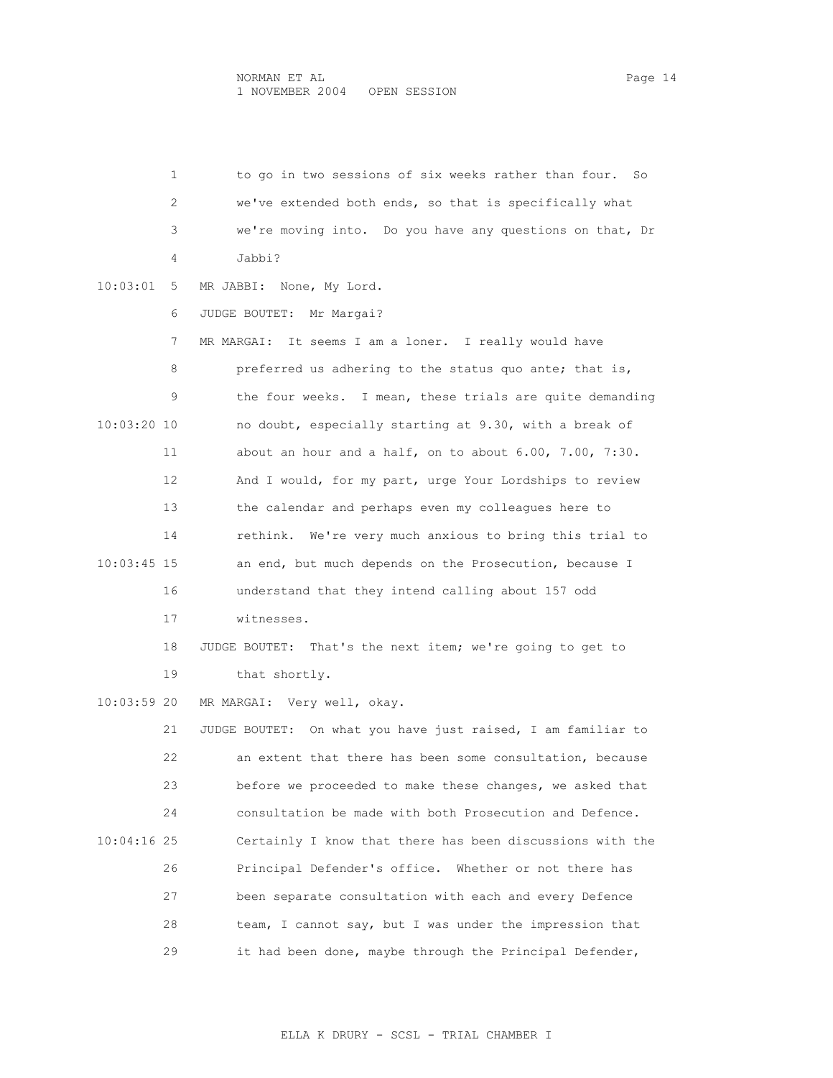1 to go in two sessions of six weeks rather than four. So 2 we've extended both ends, so that is specifically what 3 we're moving into. Do you have any questions on that, Dr 4 Jabbi? 10:03:01 5 MR JABBI: None, My Lord. 6 JUDGE BOUTET: Mr Margai? 7 MR MARGAI: It seems I am a loner. I really would have 8 preferred us adhering to the status quo ante; that is, 9 the four weeks. I mean, these trials are quite demanding 10:03:20 10 no doubt, especially starting at 9.30, with a break of 11 about an hour and a half, on to about 6.00, 7.00, 7:30. 12 And I would, for my part, urge Your Lordships to review 13 the calendar and perhaps even my colleagues here to 14 rethink. We're very much anxious to bring this trial to 10:03:45 15 an end, but much depends on the Prosecution, because I 16 understand that they intend calling about 157 odd 17 witnesses. 18 JUDGE BOUTET: That's the next item; we're going to get to 19 that shortly. 10:03:59 20 MR MARGAI: Very well, okay. 21 JUDGE BOUTET: On what you have just raised, I am familiar to 22 an extent that there has been some consultation, because 23 before we proceeded to make these changes, we asked that 24 consultation be made with both Prosecution and Defence. 10:04:16 25 Certainly I know that there has been discussions with the 26 Principal Defender's office. Whether or not there has 27 been separate consultation with each and every Defence 28 team, I cannot say, but I was under the impression that 29 it had been done, maybe through the Principal Defender,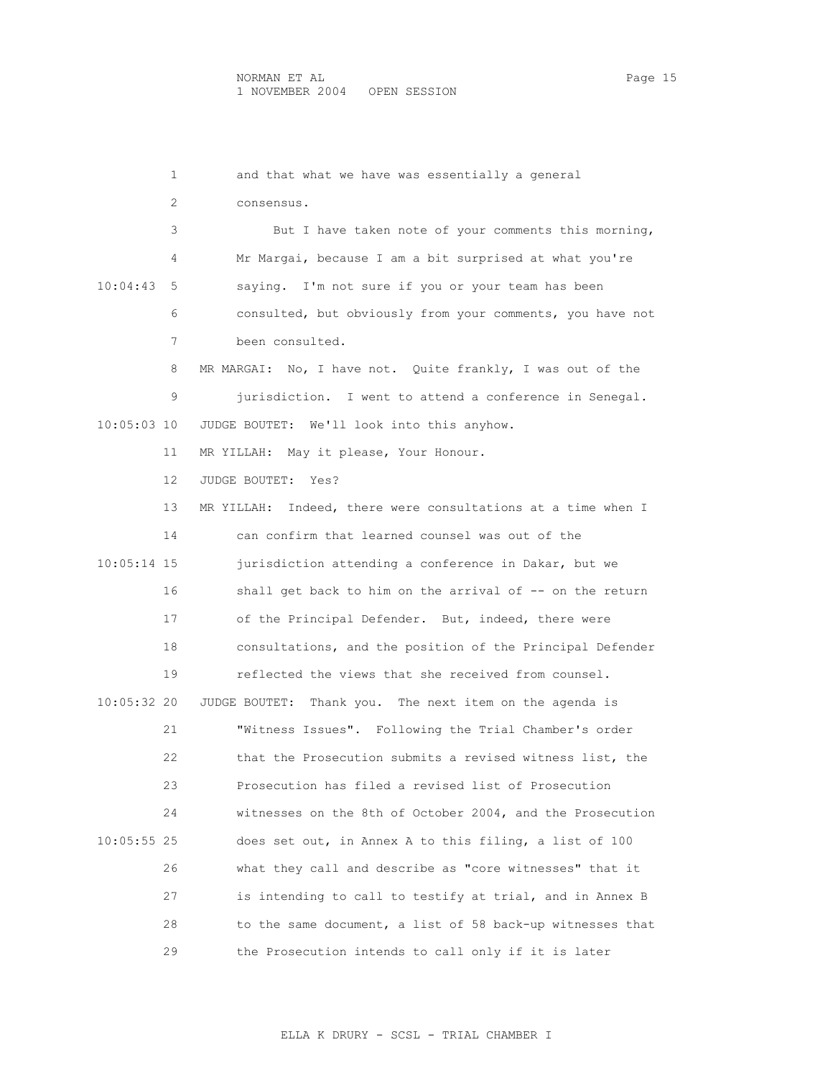1 and that what we have was essentially a general 2 consensus. 3 But I have taken note of your comments this morning, 4 Mr Margai, because I am a bit surprised at what you're 10:04:43 5 saying. I'm not sure if you or your team has been 6 consulted, but obviously from your comments, you have not 7 been consulted. 8 MR MARGAI: No, I have not. Quite frankly, I was out of the 9 jurisdiction. I went to attend a conference in Senegal. 10:05:03 10 JUDGE BOUTET: We'll look into this anyhow. 11 MR YILLAH: May it please, Your Honour. 12 JUDGE BOUTET: Yes? 13 MR YILLAH: Indeed, there were consultations at a time when I 14 can confirm that learned counsel was out of the 10:05:14 15 jurisdiction attending a conference in Dakar, but we 16 shall get back to him on the arrival of -- on the return 17 of the Principal Defender. But, indeed, there were 18 consultations, and the position of the Principal Defender 19 reflected the views that she received from counsel. 10:05:32 20 JUDGE BOUTET: Thank you. The next item on the agenda is 21 "Witness Issues". Following the Trial Chamber's order 22 that the Prosecution submits a revised witness list, the 23 Prosecution has filed a revised list of Prosecution 24 witnesses on the 8th of October 2004, and the Prosecution 10:05:55 25 does set out, in Annex A to this filing, a list of 100 26 what they call and describe as "core witnesses" that it 27 is intending to call to testify at trial, and in Annex B 28 to the same document, a list of 58 back-up witnesses that 29 the Prosecution intends to call only if it is later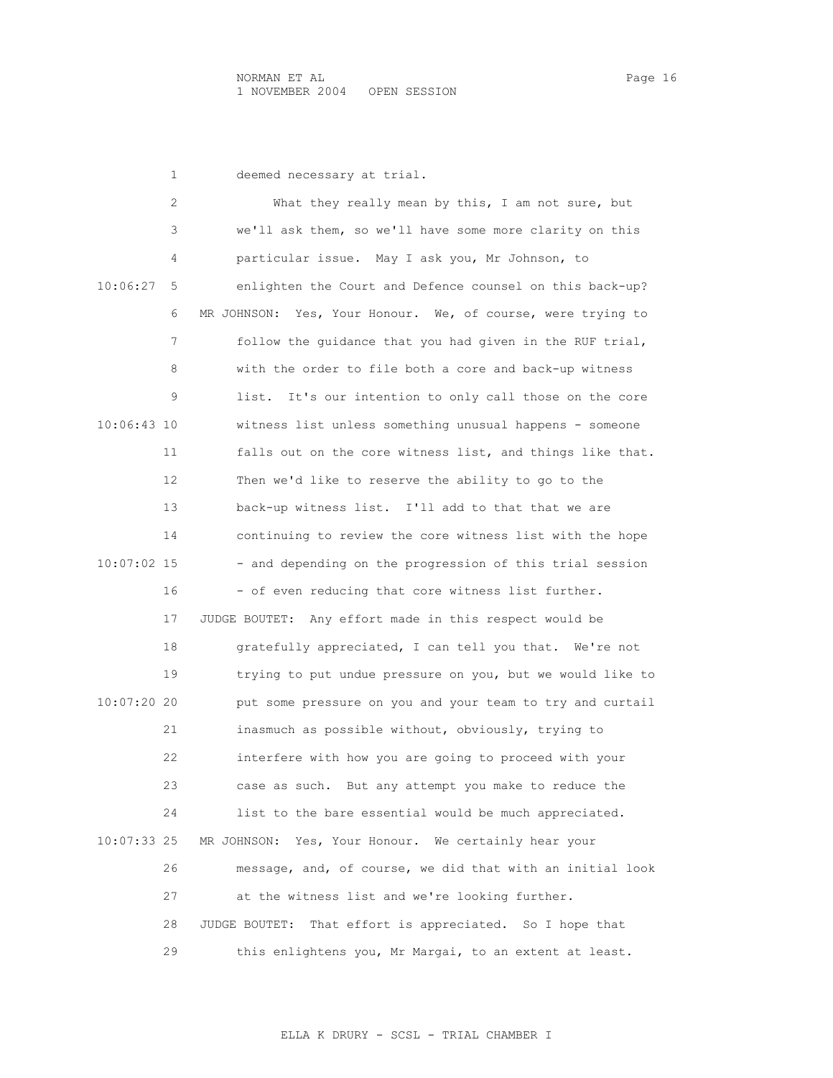|             | 1  | deemed necessary at trial.                                     |
|-------------|----|----------------------------------------------------------------|
|             | 2  | What they really mean by this, I am not sure, but              |
|             | 3  | we'll ask them, so we'll have some more clarity on this        |
|             | 4  | particular issue. May I ask you, Mr Johnson, to                |
| 10:06:27    | 5  | enlighten the Court and Defence counsel on this back-up?       |
|             | 6  | Yes, Your Honour. We, of course, were trying to<br>MR JOHNSON: |
|             | 7  | follow the quidance that you had given in the RUF trial,       |
|             | 8  | with the order to file both a core and back-up witness         |
|             | 9  | It's our intention to only call those on the core<br>list.     |
| 10:06:43 10 |    | witness list unless something unusual happens - someone        |
|             | 11 | falls out on the core witness list, and things like that.      |
|             | 12 | Then we'd like to reserve the ability to go to the             |
|             | 13 | back-up witness list. I'll add to that that we are             |
|             | 14 | continuing to review the core witness list with the hope       |
| 10:07:02 15 |    | - and depending on the progression of this trial session       |
|             | 16 | - of even reducing that core witness list further.             |
|             | 17 | JUDGE BOUTET: Any effort made in this respect would be         |
|             | 18 | gratefully appreciated, I can tell you that. We're not         |
|             | 19 | trying to put undue pressure on you, but we would like to      |
| 10:07:20 20 |    | put some pressure on you and your team to try and curtail      |
|             | 21 | inasmuch as possible without, obviously, trying to             |
|             | 22 | interfere with how you are going to proceed with your          |
|             | 23 | case as such. But any attempt you make to reduce the           |
|             | 24 | list to the bare essential would be much appreciated.          |
| 10:07:33 25 |    | Yes, Your Honour. We certainly hear your<br>MR JOHNSON:        |
|             | 26 | message, and, of course, we did that with an initial look      |
|             | 27 | at the witness list and we're looking further.                 |
|             | 28 | JUDGE BOUTET:<br>That effort is appreciated. So I hope that    |
|             | 29 | this enlightens you, Mr Margai, to an extent at least.         |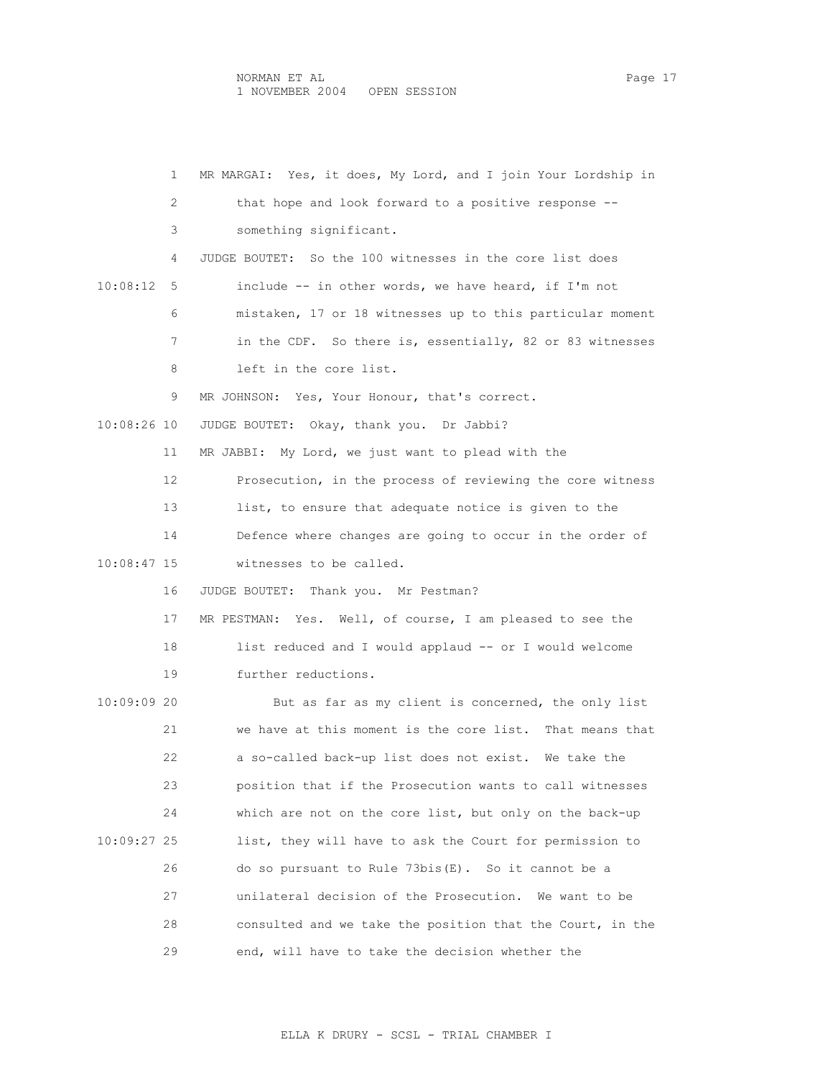|             | 1   | MR MARGAI: Yes, it does, My Lord, and I join Your Lordship in |
|-------------|-----|---------------------------------------------------------------|
|             | 2   | that hope and look forward to a positive response --          |
|             | 3   | something significant.                                        |
|             | 4   | JUDGE BOUTET: So the 100 witnesses in the core list does      |
| 10:08:12    | - 5 | include -- in other words, we have heard, if I'm not          |
|             | 6   | mistaken, 17 or 18 witnesses up to this particular moment     |
|             | 7   | in the CDF. So there is, essentially, 82 or 83 witnesses      |
|             | 8   | left in the core list.                                        |
|             | 9   | MR JOHNSON: Yes, Your Honour, that's correct.                 |
| 10:08:26 10 |     | JUDGE BOUTET: Okay, thank you. Dr Jabbi?                      |
|             | 11  | MR JABBI: My Lord, we just want to plead with the             |
|             | 12  | Prosecution, in the process of reviewing the core witness     |
|             | 13  | list, to ensure that adequate notice is given to the          |
|             | 14  | Defence where changes are going to occur in the order of      |
| 10:08:47 15 |     | witnesses to be called.                                       |
|             | 16  | Thank you. Mr Pestman?<br>JUDGE BOUTET:                       |
|             | 17  | MR PESTMAN: Yes. Well, of course, I am pleased to see the     |
|             | 18  | list reduced and I would applaud -- or I would welcome        |
|             | 19  | further reductions.                                           |
| 10:09:09 20 |     | But as far as my client is concerned, the only list           |
|             | 21  | we have at this moment is the core list. That means that      |
|             | 22  | a so-called back-up list does not exist. We take the          |
|             | 23  | position that if the Prosecution wants to call witnesses      |
|             | 24  | which are not on the core list, but only on the back-up       |
| 10:09:27 25 |     | list, they will have to ask the Court for permission to       |
|             | 26  | do so pursuant to Rule $73bis(E)$ . So it cannot be a         |
|             | 27  | unilateral decision of the Prosecution.<br>We want to be      |
|             | 28  | consulted and we take the position that the Court, in the     |
|             | 29  | end, will have to take the decision whether the               |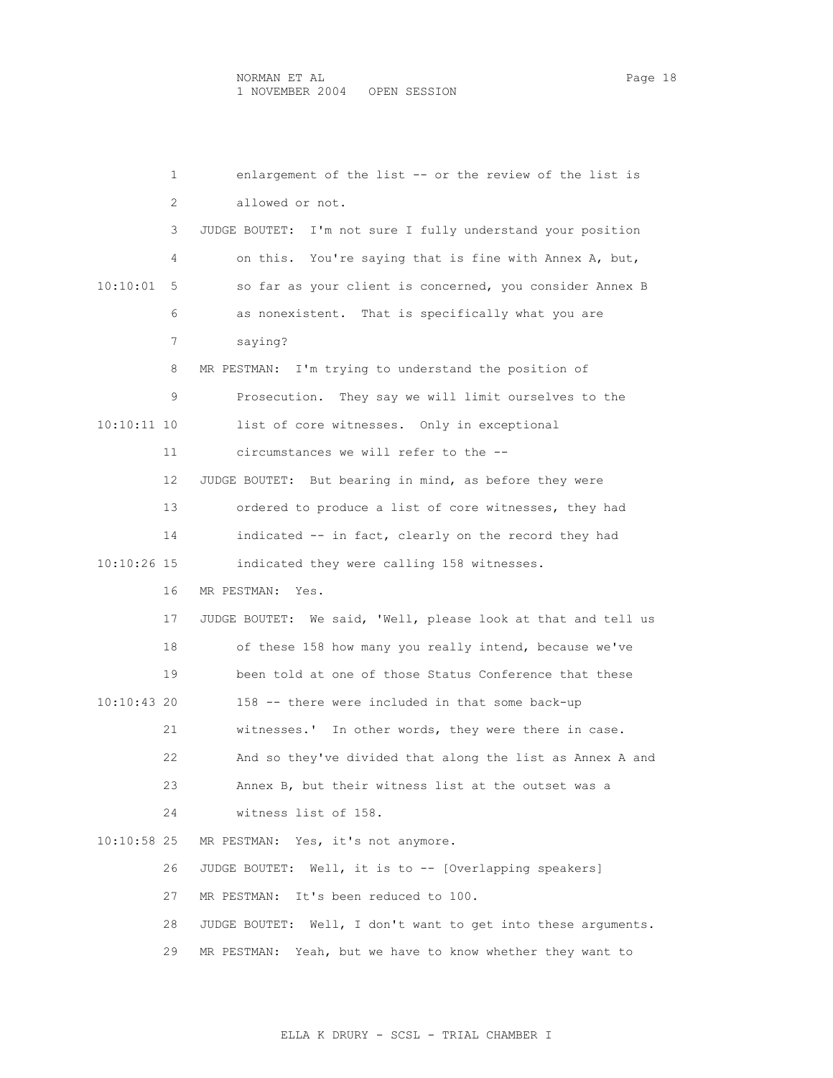1 enlargement of the list -- or the review of the list is 2 allowed or not. 3 JUDGE BOUTET: I'm not sure I fully understand your position 4 on this. You're saying that is fine with Annex A, but, 10:10:01 5 so far as your client is concerned, you consider Annex B 6 as nonexistent. That is specifically what you are 7 saying? 8 MR PESTMAN: I'm trying to understand the position of 9 Prosecution. They say we will limit ourselves to the 10:10:11 10 list of core witnesses. Only in exceptional 11 circumstances we will refer to the -- 12 JUDGE BOUTET: But bearing in mind, as before they were 13 ordered to produce a list of core witnesses, they had 14 indicated -- in fact, clearly on the record they had 10:10:26 15 indicated they were calling 158 witnesses. 16 MR PESTMAN: Yes. 17 JUDGE BOUTET: We said, 'Well, please look at that and tell us 18 of these 158 how many you really intend, because we've 19 been told at one of those Status Conference that these 10:10:43 20 158 -- there were included in that some back-up 21 witnesses.' In other words, they were there in case. 22 And so they've divided that along the list as Annex A and 23 Annex B, but their witness list at the outset was a 24 witness list of 158. 10:10:58 25 MR PESTMAN: Yes, it's not anymore. 26 JUDGE BOUTET: Well, it is to -- [Overlapping speakers] 27 MR PESTMAN: It's been reduced to 100. 28 JUDGE BOUTET: Well, I don't want to get into these arguments. 29 MR PESTMAN: Yeah, but we have to know whether they want to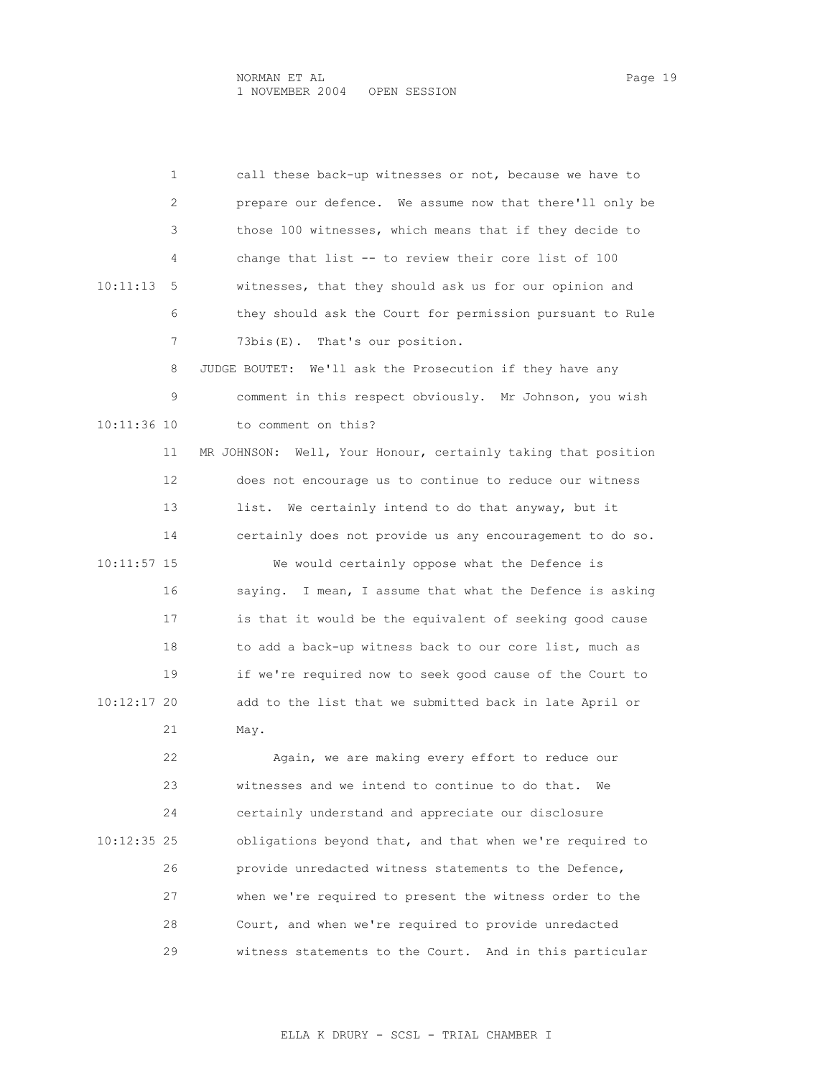|               | 1  | call these back-up witnesses or not, because we have to          |
|---------------|----|------------------------------------------------------------------|
|               | 2  | prepare our defence. We assume now that there'll only be         |
|               | 3  | those 100 witnesses, which means that if they decide to          |
|               | 4  | change that list -- to review their core list of 100             |
| 10:11:13      | 5  | witnesses, that they should ask us for our opinion and           |
|               | 6  | they should ask the Court for permission pursuant to Rule        |
|               | 7  | 73bis(E). That's our position.                                   |
|               | 8  | JUDGE BOUTET:<br>We'll ask the Prosecution if they have any      |
|               | 9  | comment in this respect obviously. Mr Johnson, you wish          |
| 10:11:36 10   |    | to comment on this?                                              |
|               | 11 | Well, Your Honour, certainly taking that position<br>MR JOHNSON: |
|               | 12 | does not encourage us to continue to reduce our witness          |
|               | 13 | list. We certainly intend to do that anyway, but it              |
|               | 14 | certainly does not provide us any encouragement to do so.        |
| $10:11:57$ 15 |    | We would certainly oppose what the Defence is                    |
|               | 16 | saying. I mean, I assume that what the Defence is asking         |
|               | 17 | is that it would be the equivalent of seeking good cause         |
|               | 18 | to add a back-up witness back to our core list, much as          |
|               | 19 | if we're required now to seek good cause of the Court to         |
| 10:12:17 20   |    | add to the list that we submitted back in late April or          |
|               | 21 | May.                                                             |
|               | 22 | Again, we are making every effort to reduce our                  |
|               | 23 | witnesses and we intend to continue to do that.<br>We            |
|               | 24 | certainly understand and appreciate our disclosure               |
| 10:12:35 25   |    | obligations beyond that, and that when we're required to         |
|               | 26 | provide unredacted witness statements to the Defence,            |
|               | 27 | when we're required to present the witness order to the          |
|               | 28 | Court, and when we're required to provide unredacted             |
|               | 29 | witness statements to the Court. And in this particular          |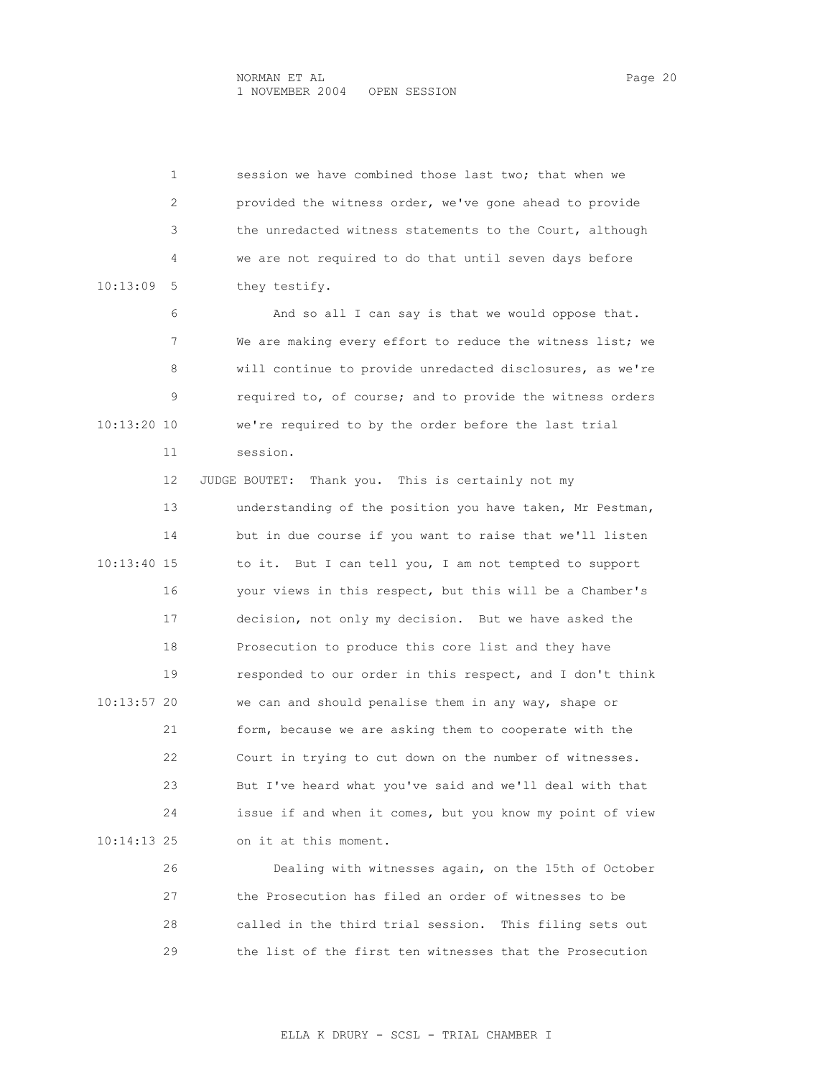|             | $\mathbf{1}$ | session we have combined those last two; that when we     |
|-------------|--------------|-----------------------------------------------------------|
|             | 2            | provided the witness order, we've gone ahead to provide   |
|             | 3            | the unredacted witness statements to the Court, although  |
|             | 4            | we are not required to do that until seven days before    |
| 10:13:09    | 5            | they testify.                                             |
|             | 6            | And so all I can say is that we would oppose that.        |
|             | 7            | We are making every effort to reduce the witness list; we |
|             | 8            | will continue to provide unredacted disclosures, as we're |
|             | 9            | required to, of course; and to provide the witness orders |
| 10:13:20 10 |              | we're required to by the order before the last trial      |
|             | 11           | session.                                                  |
|             | 12           | Thank you. This is certainly not my<br>JUDGE BOUTET:      |
|             | 13           | understanding of the position you have taken, Mr Pestman, |
|             | 14           | but in due course if you want to raise that we'll listen  |
| 10:13:40 15 |              | But I can tell you, I am not tempted to support<br>to it. |
|             | 16           | your views in this respect, but this will be a Chamber's  |
|             | 17           | decision, not only my decision. But we have asked the     |
|             | 18           | Prosecution to produce this core list and they have       |
|             | 19           | responded to our order in this respect, and I don't think |
| 10:13:57 20 |              | we can and should penalise them in any way, shape or      |
|             | 21           | form, because we are asking them to cooperate with the    |
|             | 22           | Court in trying to cut down on the number of witnesses.   |
|             | 23           | But I've heard what you've said and we'll deal with that  |
|             | 24           | issue if and when it comes, but you know my point of view |
| 10:14:13 25 |              | on it at this moment.                                     |
|             | 26           | Dealing with witnesses again, on the 15th of October      |
|             | 27           | the Prosecution has filed an order of witnesses to be     |
|             | 28           | called in the third trial session. This filing sets out   |

29 the list of the first ten witnesses that the Prosecution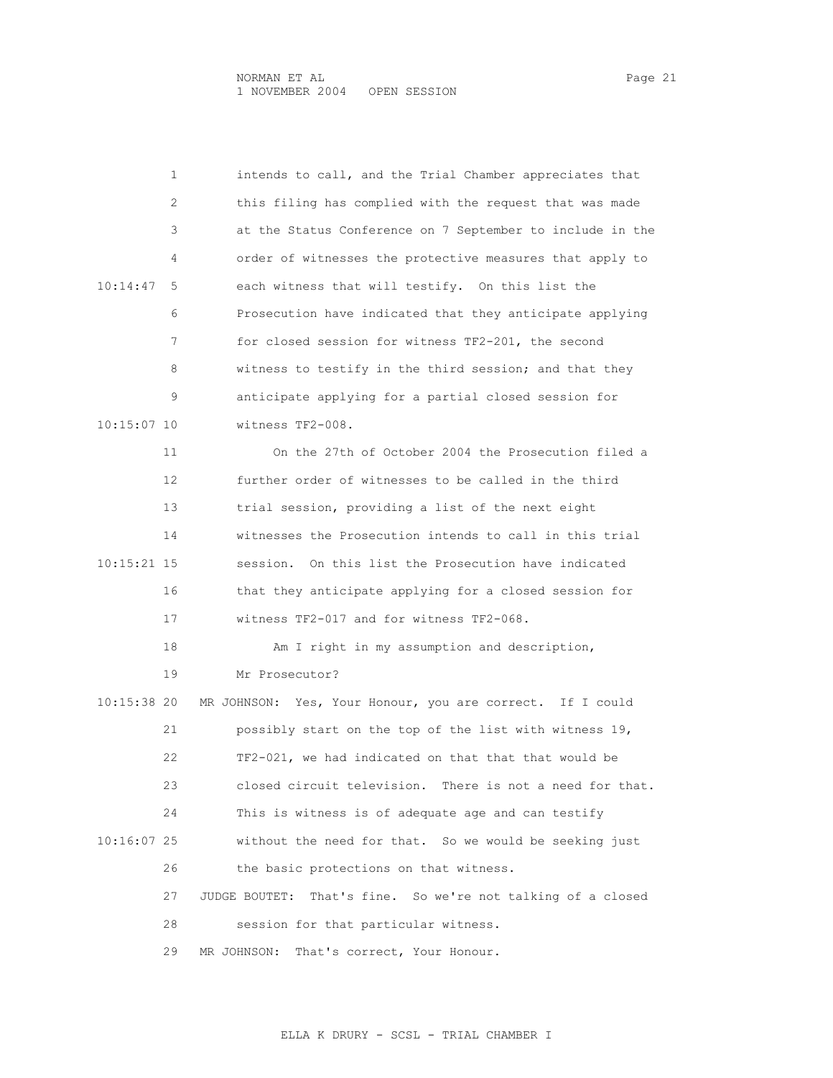| 1             | intends to call, and the Trial Chamber appreciates that        |
|---------------|----------------------------------------------------------------|
| 2             | this filing has complied with the request that was made        |
| 3             | at the Status Conference on 7 September to include in the      |
| 4             | order of witnesses the protective measures that apply to       |
| 10:14:47<br>5 | each witness that will testify. On this list the               |
| 6             | Prosecution have indicated that they anticipate applying       |
| 7             | for closed session for witness TF2-201, the second             |
| 8             | witness to testify in the third session; and that they         |
| 9             | anticipate applying for a partial closed session for           |
| $10:15:07$ 10 | witness TF2-008.                                               |
| 11            | On the 27th of October 2004 the Prosecution filed a            |
| 12            | further order of witnesses to be called in the third           |
| 13            | trial session, providing a list of the next eight              |
| 14            | witnesses the Prosecution intends to call in this trial        |
| 10:15:21 15   | session. On this list the Prosecution have indicated           |
| 16            | that they anticipate applying for a closed session for         |
| 17            | witness TF2-017 and for witness TF2-068.                       |
| 18            | Am I right in my assumption and description,                   |
| 19            | Mr Prosecutor?                                                 |
| 10:15:38 20   | MR JOHNSON: Yes, Your Honour, you are correct. If I could      |
| 21            | possibly start on the top of the list with witness 19,         |
| 22            | TF2-021, we had indicated on that that that would be           |
| 23            | closed circuit television. There is not a need for that.       |
| 24            | This is witness is of adequate age and can testify             |
| 10:16:07 25   | without the need for that. So we would be seeking just         |
| 26            | the basic protections on that witness.                         |
| 27            | That's fine. So we're not talking of a closed<br>JUDGE BOUTET: |
| 28            | session for that particular witness.                           |
| 29            | That's correct, Your Honour.<br>MR JOHNSON:                    |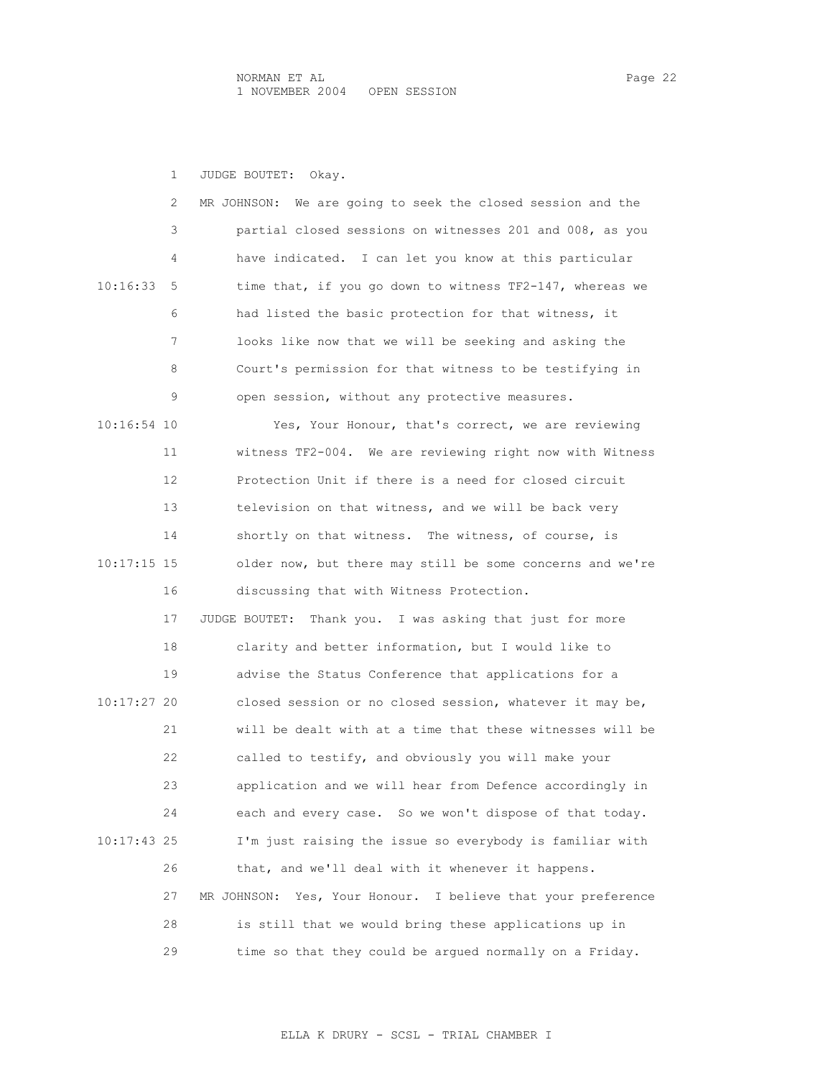1 JUDGE BOUTET: Okay.

|               | 2  | We are going to seek the closed session and the<br>MR JOHNSON:  |
|---------------|----|-----------------------------------------------------------------|
|               | 3  | partial closed sessions on witnesses 201 and 008, as you        |
|               | 4  | have indicated. I can let you know at this particular           |
| 10:16:33      | 5  | time that, if you go down to witness TF2-147, whereas we        |
|               | 6  | had listed the basic protection for that witness, it            |
|               | 7  | looks like now that we will be seeking and asking the           |
|               | 8  | Court's permission for that witness to be testifying in         |
|               | 9  | open session, without any protective measures.                  |
| 10:16:54 10   |    | Yes, Your Honour, that's correct, we are reviewing              |
|               | 11 | witness TF2-004. We are reviewing right now with Witness        |
|               | 12 | Protection Unit if there is a need for closed circuit           |
|               | 13 | television on that witness, and we will be back very            |
|               | 14 | shortly on that witness. The witness, of course, is             |
| $10:17:15$ 15 |    | older now, but there may still be some concerns and we're       |
|               | 16 | discussing that with Witness Protection.                        |
|               | 17 | JUDGE BOUTET: Thank you. I was asking that just for more        |
|               | 18 | clarity and better information, but I would like to             |
|               | 19 | advise the Status Conference that applications for a            |
| 10:17:27 20   |    | closed session or no closed session, whatever it may be,        |
|               | 21 | will be dealt with at a time that these witnesses will be       |
|               | 22 | called to testify, and obviously you will make your             |
|               | 23 | application and we will hear from Defence accordingly in        |
|               | 24 | each and every case. So we won't dispose of that today.         |
| 10:17:43 25   |    | I'm just raising the issue so everybody is familiar with        |
|               | 26 | that, and we'll deal with it whenever it happens.               |
|               | 27 | Yes, Your Honour. I believe that your preference<br>MR JOHNSON: |
|               | 28 | is still that we would bring these applications up in           |
|               | 29 | time so that they could be argued normally on a Friday.         |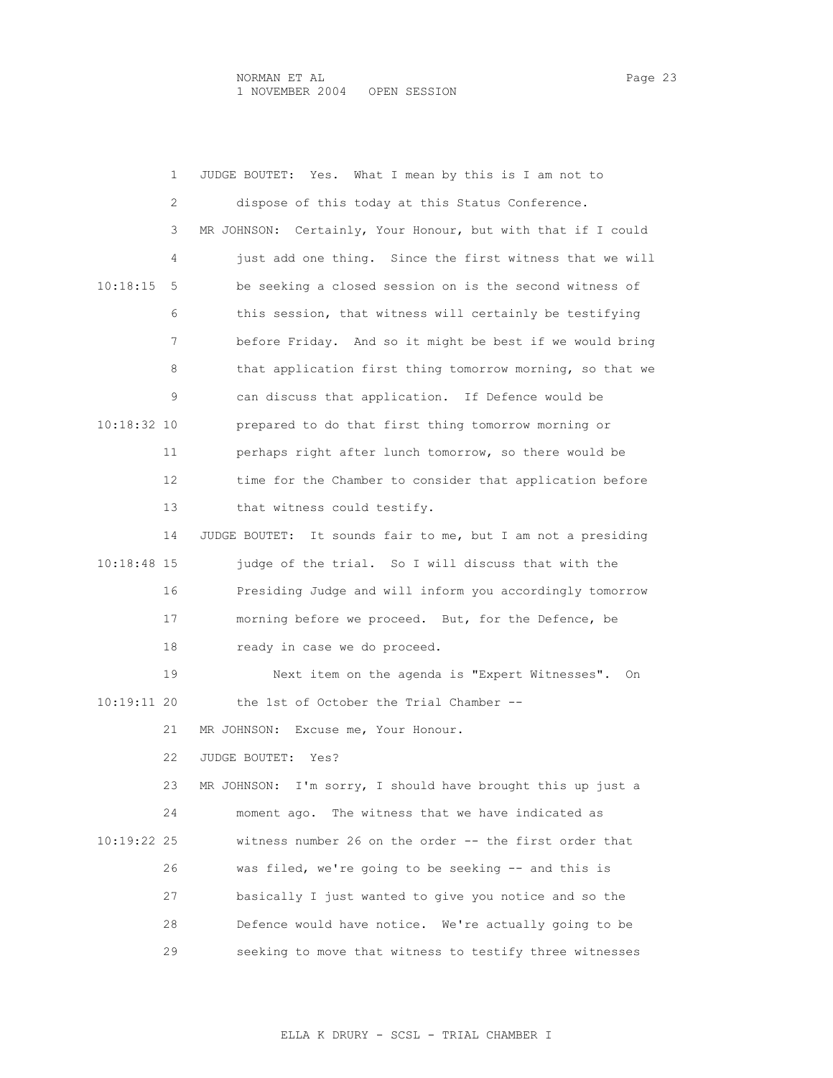|             | 1  | Yes. What I mean by this is I am not to<br>JUDGE BOUTET:     |
|-------------|----|--------------------------------------------------------------|
|             | 2  | dispose of this today at this Status Conference.             |
|             | 3  | MR JOHNSON: Certainly, Your Honour, but with that if I could |
|             | 4  | just add one thing. Since the first witness that we will     |
| 10:18:15    | 5  | be seeking a closed session on is the second witness of      |
|             | 6  | this session, that witness will certainly be testifying      |
|             | 7  | before Friday. And so it might be best if we would bring     |
|             | 8  | that application first thing tomorrow morning, so that we    |
|             | 9  | can discuss that application. If Defence would be            |
| 10:18:32 10 |    | prepared to do that first thing tomorrow morning or          |
|             | 11 | perhaps right after lunch tomorrow, so there would be        |
|             | 12 | time for the Chamber to consider that application before     |
|             | 13 | that witness could testify.                                  |
|             | 14 | JUDGE BOUTET: It sounds fair to me, but I am not a presiding |
| 10:18:48 15 |    | judge of the trial. So I will discuss that with the          |
|             | 16 | Presiding Judge and will inform you accordingly tomorrow     |
|             | 17 | morning before we proceed. But, for the Defence, be          |
|             | 18 | ready in case we do proceed.                                 |
|             | 19 | Next item on the agenda is "Expert Witnesses".<br>On         |
| 10:19:11 20 |    | the 1st of October the Trial Chamber --                      |
|             | 21 | MR JOHNSON: Excuse me, Your Honour.                          |
|             | 22 | JUDGE BOUTET:<br>Yes?                                        |
|             | 23 | MR JOHNSON: I'm sorry, I should have brought this up just a  |
|             | 24 | The witness that we have indicated as<br>moment ago.         |
| 10:19:22 25 |    | witness number 26 on the order -- the first order that       |
|             | 26 | was filed, we're going to be seeking -- and this is          |
|             | 27 | basically I just wanted to give you notice and so the        |
|             | 28 | Defence would have notice. We're actually going to be        |
|             | 29 | seeking to move that witness to testify three witnesses      |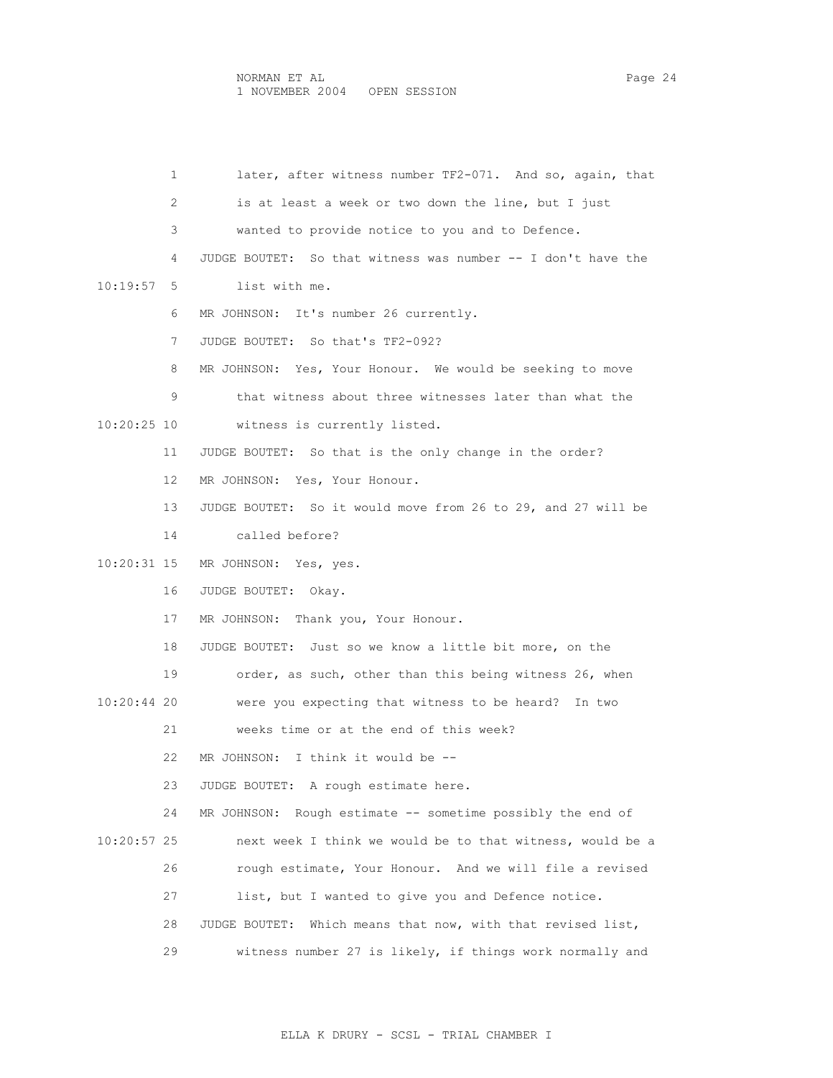| 1             | later, after witness number TF2-071. And so, again, that       |
|---------------|----------------------------------------------------------------|
| 2             | is at least a week or two down the line, but I just            |
| 3             | wanted to provide notice to you and to Defence.                |
| 4             | JUDGE BOUTET: So that witness was number -- I don't have the   |
| 10:19:57<br>5 | list with me.                                                  |
| 6             | MR JOHNSON: It's number 26 currently.                          |
| 7             | JUDGE BOUTET: So that's TF2-092?                               |
| 8             | MR JOHNSON: Yes, Your Honour. We would be seeking to move      |
| 9             | that witness about three witnesses later than what the         |
| 10:20:25 10   | witness is currently listed.                                   |
| 11            | JUDGE BOUTET: So that is the only change in the order?         |
| 12            | MR JOHNSON: Yes, Your Honour.                                  |
| 13            | JUDGE BOUTET: So it would move from 26 to 29, and 27 will be   |
| 14            | called before?                                                 |
| 10:20:31 15   | MR JOHNSON: Yes, yes.                                          |
| 16            | JUDGE BOUTET:<br>Okay.                                         |
| 17            | MR JOHNSON: Thank you, Your Honour.                            |
| 18            | JUDGE BOUTET: Just so we know a little bit more, on the        |
| 19            | order, as such, other than this being witness 26, when         |
| 10:20:44 20   | were you expecting that witness to be heard? In two            |
| 21            | weeks time or at the end of this week?                         |
| 22            | MR JOHNSON: I think it would be --                             |
| 23            | JUDGE BOUTET: A rough estimate here.                           |
| 24            | Rough estimate -- sometime possibly the end of<br>MR JOHNSON:  |
| 10:20:57 25   | next week I think we would be to that witness, would be a      |
| 26            | rough estimate, Your Honour. And we will file a revised        |
| 27            | list, but I wanted to give you and Defence notice.             |
| 28            | Which means that now, with that revised list,<br>JUDGE BOUTET: |
| 29            | witness number 27 is likely, if things work normally and       |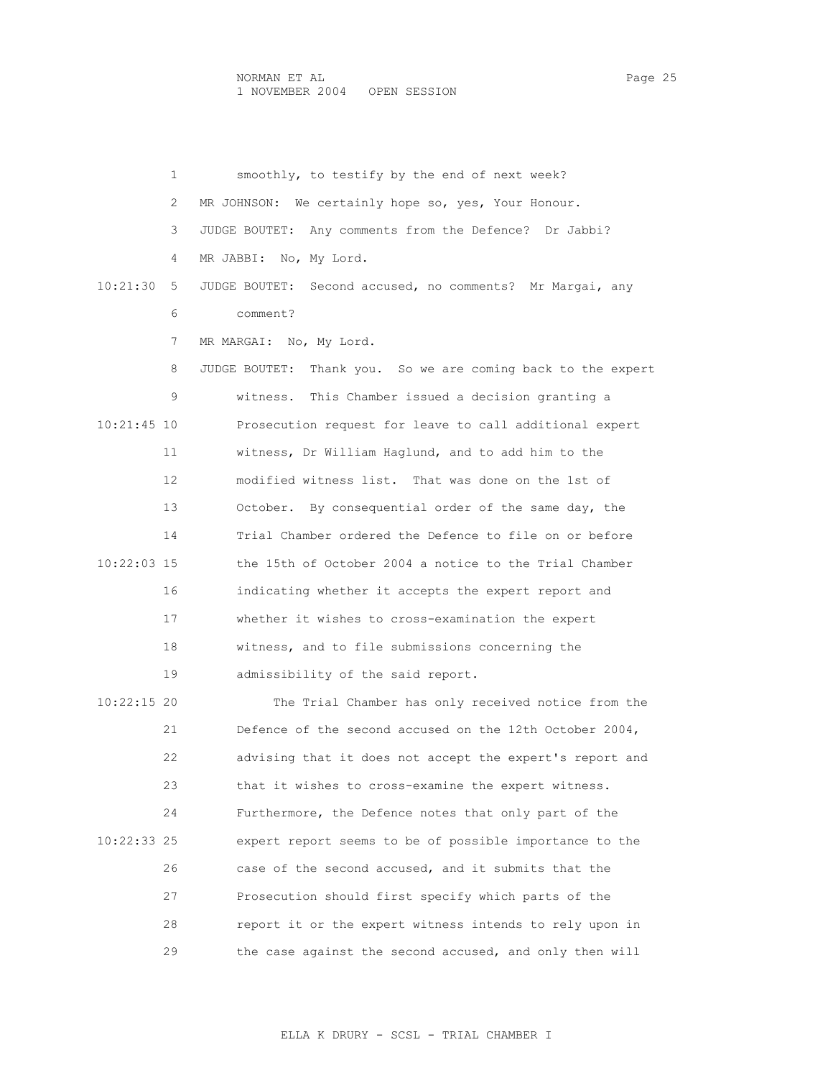1 smoothly, to testify by the end of next week? 2 MR JOHNSON: We certainly hope so, yes, Your Honour. 3 JUDGE BOUTET: Any comments from the Defence? Dr Jabbi? 4 MR JABBI: No, My Lord. 10:21:30 5 JUDGE BOUTET: Second accused, no comments? Mr Margai, any 6 comment? 7 MR MARGAI: No, My Lord. 8 JUDGE BOUTET: Thank you. So we are coming back to the expert 9 witness. This Chamber issued a decision granting a 10:21:45 10 Prosecution request for leave to call additional expert 11 witness, Dr William Haglund, and to add him to the 12 modified witness list. That was done on the 1st of 13 October. By consequential order of the same day, the 14 Trial Chamber ordered the Defence to file on or before 10:22:03 15 the 15th of October 2004 a notice to the Trial Chamber 16 indicating whether it accepts the expert report and 17 whether it wishes to cross-examination the expert 18 witness, and to file submissions concerning the 19 admissibility of the said report. 10:22:15 20 The Trial Chamber has only received notice from the 21 Defence of the second accused on the 12th October 2004, 22 advising that it does not accept the expert's report and 23 that it wishes to cross-examine the expert witness. 24 Furthermore, the Defence notes that only part of the 10:22:33 25 expert report seems to be of possible importance to the 26 case of the second accused, and it submits that the 27 Prosecution should first specify which parts of the 28 report it or the expert witness intends to rely upon in 29 the case against the second accused, and only then will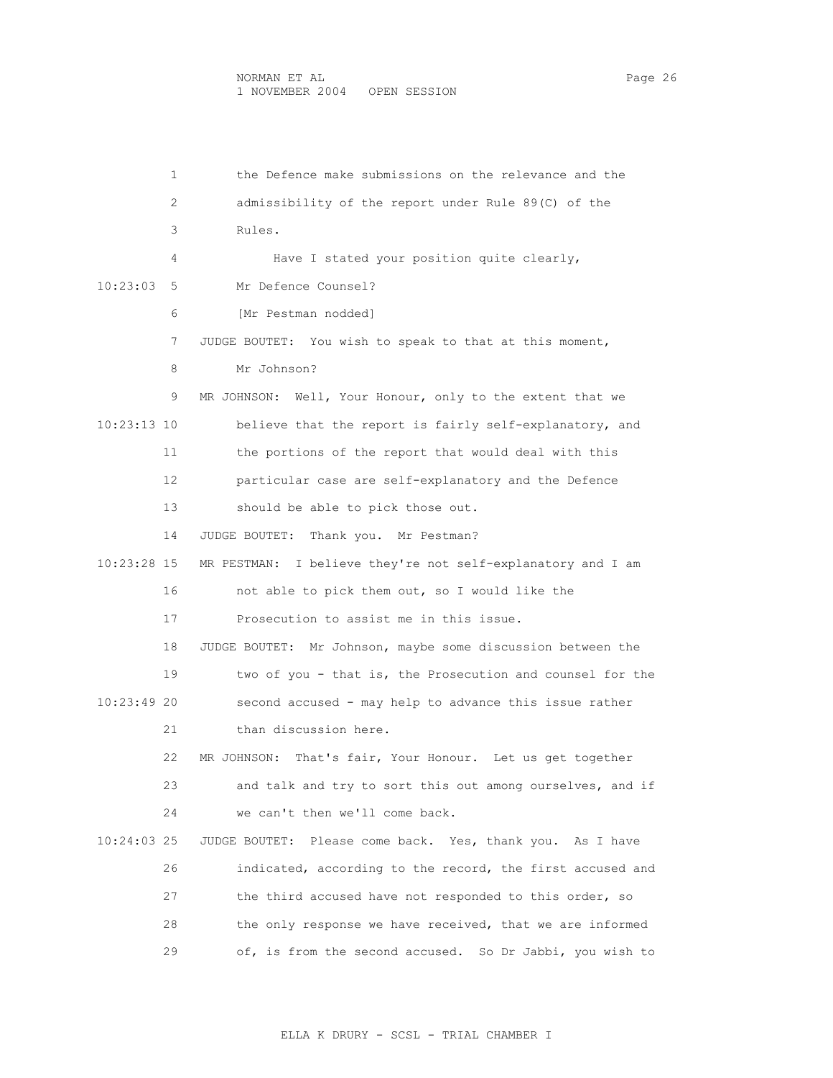1 the Defence make submissions on the relevance and the 2 admissibility of the report under Rule 89(C) of the 3 Rules. 4 Have I stated your position quite clearly, 10:23:03 5 Mr Defence Counsel? 6 [Mr Pestman nodded] 7 JUDGE BOUTET: You wish to speak to that at this moment, 8 Mr Johnson? 9 MR JOHNSON: Well, Your Honour, only to the extent that we 10:23:13 10 believe that the report is fairly self-explanatory, and 11 the portions of the report that would deal with this 12 particular case are self-explanatory and the Defence 13 should be able to pick those out. 14 JUDGE BOUTET: Thank you. Mr Pestman? 10:23:28 15 MR PESTMAN: I believe they're not self-explanatory and I am 16 not able to pick them out, so I would like the 17 Prosecution to assist me in this issue. 18 JUDGE BOUTET: Mr Johnson, maybe some discussion between the 19 two of you - that is, the Prosecution and counsel for the 10:23:49 20 second accused - may help to advance this issue rather 21 than discussion here. 22 MR JOHNSON: That's fair, Your Honour. Let us get together 23 and talk and try to sort this out among ourselves, and if 24 we can't then we'll come back. 10:24:03 25 JUDGE BOUTET: Please come back. Yes, thank you. As I have 26 indicated, according to the record, the first accused and 27 the third accused have not responded to this order, so 28 the only response we have received, that we are informed 29 of, is from the second accused. So Dr Jabbi, you wish to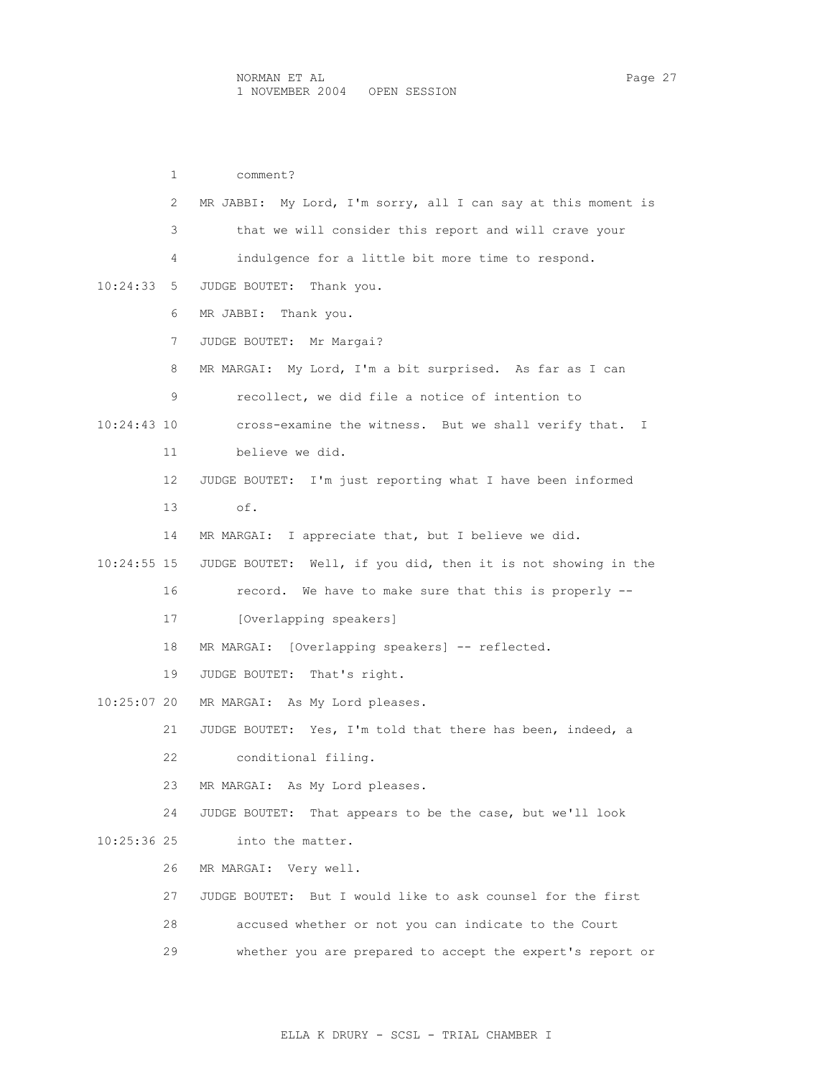1 comment? 2 MR JABBI: My Lord, I'm sorry, all I can say at this moment is 3 that we will consider this report and will crave your 4 indulgence for a little bit more time to respond. 10:24:33 5 JUDGE BOUTET: Thank you. 6 MR JABBI: Thank you. 7 JUDGE BOUTET: Mr Margai? 8 MR MARGAI: My Lord, I'm a bit surprised. As far as I can 9 recollect, we did file a notice of intention to 10:24:43 10 cross-examine the witness. But we shall verify that. I 11 believe we did. 12 JUDGE BOUTET: I'm just reporting what I have been informed 13 of. 14 MR MARGAI: I appreciate that, but I believe we did. 10:24:55 15 JUDGE BOUTET: Well, if you did, then it is not showing in the 16 record. We have to make sure that this is properly -- 17 [Overlapping speakers] 18 MR MARGAI: [Overlapping speakers] -- reflected. 19 JUDGE BOUTET: That's right. 10:25:07 20 MR MARGAI: As My Lord pleases. 21 JUDGE BOUTET: Yes, I'm told that there has been, indeed, a 22 conditional filing. 23 MR MARGAI: As My Lord pleases. 24 JUDGE BOUTET: That appears to be the case, but we'll look 10:25:36 25 into the matter. 26 MR MARGAI: Very well. 27 JUDGE BOUTET: But I would like to ask counsel for the first 28 accused whether or not you can indicate to the Court 29 whether you are prepared to accept the expert's report or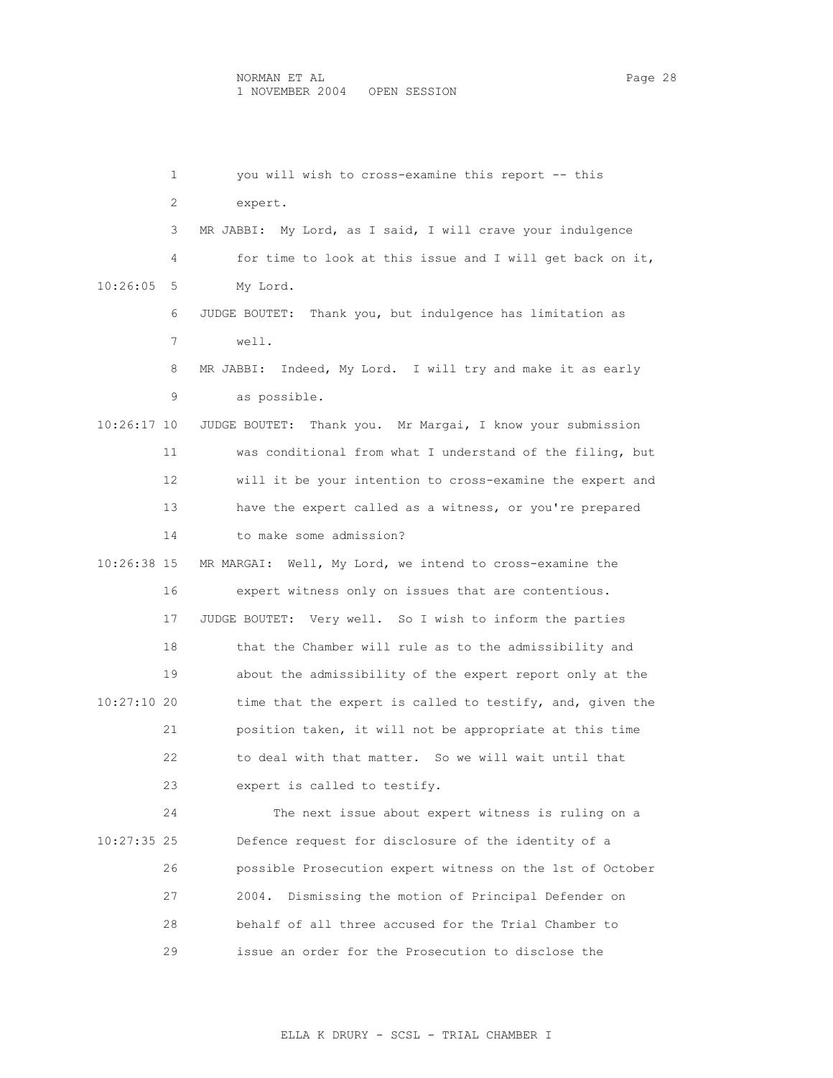| 1             | you will wish to cross-examine this report -- this          |
|---------------|-------------------------------------------------------------|
| 2             | expert.                                                     |
| 3             | MR JABBI: My Lord, as I said, I will crave your indulgence  |
| 4             | for time to look at this issue and I will get back on it,   |
| 10:26:05<br>5 | My Lord.                                                    |
| 6             | JUDGE BOUTET: Thank you, but indulgence has limitation as   |
| 7             | well.                                                       |
| 8             | MR JABBI: Indeed, My Lord. I will try and make it as early  |
| 9             | as possible.                                                |
| 10:26:17 10   | JUDGE BOUTET: Thank you. Mr Margai, I know your submission  |
| 11            | was conditional from what I understand of the filing, but   |
| 12            | will it be your intention to cross-examine the expert and   |
| 13            | have the expert called as a witness, or you're prepared     |
| 14            | to make some admission?                                     |
| 10:26:38 15   | Well, My Lord, we intend to cross-examine the<br>MR MARGAI: |
| 16            | expert witness only on issues that are contentious.         |
| 17            | JUDGE BOUTET: Very well. So I wish to inform the parties    |
| 18            | that the Chamber will rule as to the admissibility and      |
| 19            | about the admissibility of the expert report only at the    |
| 10:27:10 20   | time that the expert is called to testify, and, given the   |
| 21            | position taken, it will not be appropriate at this time     |
| 22            | to deal with that matter. So we will wait until that        |
| 23            | expert is called to testify.                                |
| 24            | The next issue about expert witness is ruling on a          |
| 10:27:35 25   | Defence request for disclosure of the identity of a         |
| 26            | possible Prosecution expert witness on the 1st of October   |
| 27            | Dismissing the motion of Principal Defender on<br>2004.     |
| 28            | behalf of all three accused for the Trial Chamber to        |
| 29            | issue an order for the Prosecution to disclose the          |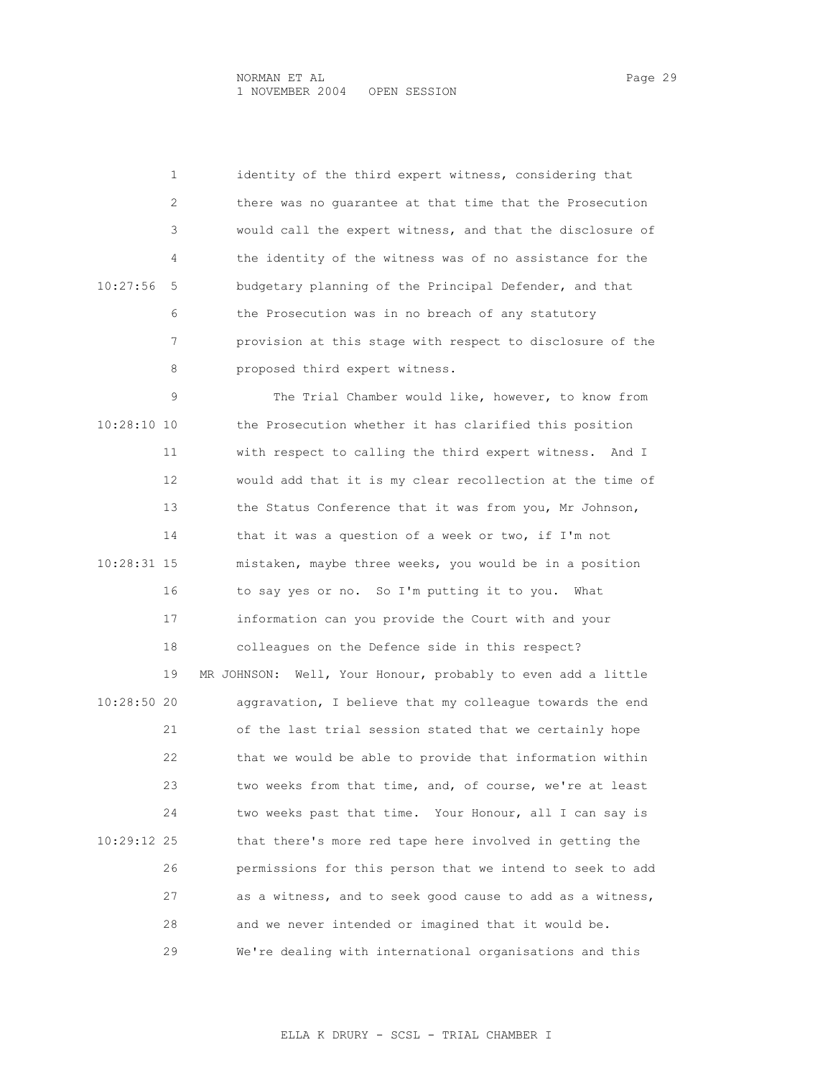1 identity of the third expert witness, considering that 2 there was no guarantee at that time that the Prosecution 3 would call the expert witness, and that the disclosure of 4 the identity of the witness was of no assistance for the 10:27:56 5 budgetary planning of the Principal Defender, and that 6 the Prosecution was in no breach of any statutory 7 provision at this stage with respect to disclosure of the 8 proposed third expert witness.

 9 The Trial Chamber would like, however, to know from 10:28:10 10 the Prosecution whether it has clarified this position 11 with respect to calling the third expert witness. And I 12 would add that it is my clear recollection at the time of 13 the Status Conference that it was from you, Mr Johnson, 14 that it was a question of a week or two, if I'm not 10:28:31 15 mistaken, maybe three weeks, you would be in a position 16 to say yes or no. So I'm putting it to you. What 17 information can you provide the Court with and your 18 colleagues on the Defence side in this respect? 19 MR JOHNSON: Well, Your Honour, probably to even add a little 10:28:50 20 aggravation, I believe that my colleague towards the end 21 of the last trial session stated that we certainly hope 22 that we would be able to provide that information within 23 two weeks from that time, and, of course, we're at least 24 two weeks past that time. Your Honour, all I can say is 10:29:12 25 that there's more red tape here involved in getting the 26 permissions for this person that we intend to seek to add 27 as a witness, and to seek good cause to add as a witness, 28 and we never intended or imagined that it would be. 29 We're dealing with international organisations and this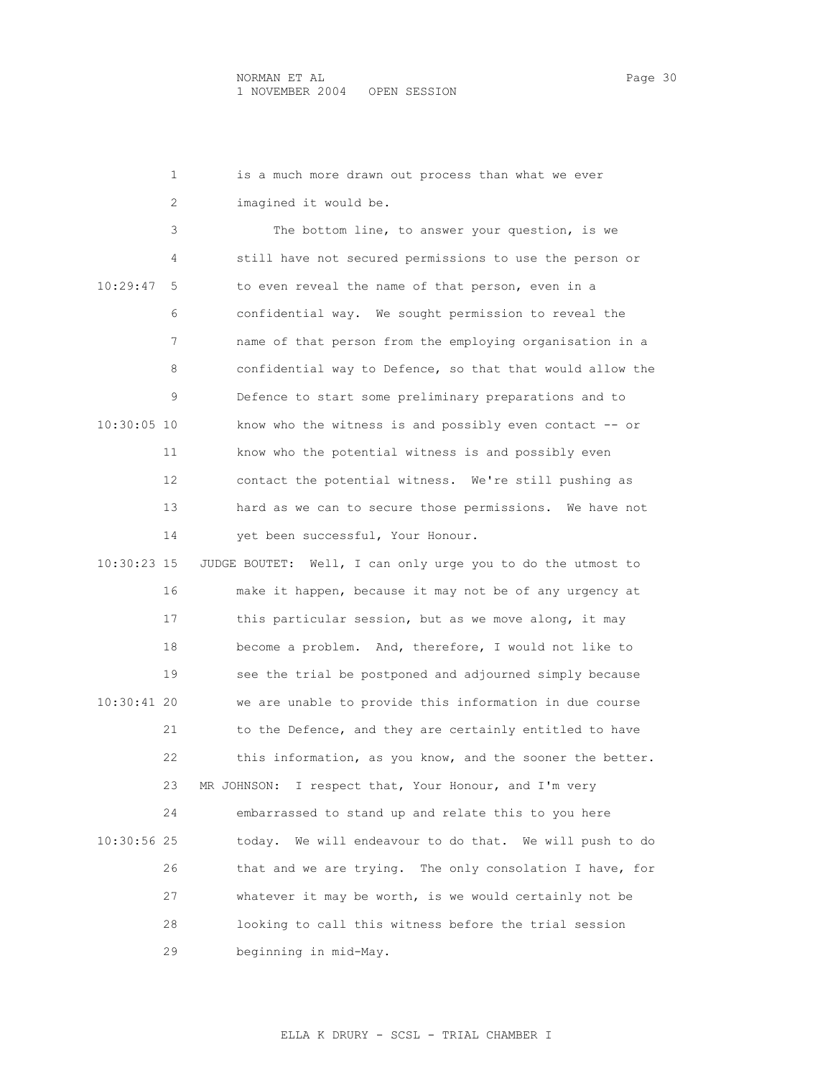1 is a much more drawn out process than what we ever 2 imagined it would be. 3 The bottom line, to answer your question, is we 4 still have not secured permissions to use the person or 10:29:47 5 to even reveal the name of that person, even in a 6 confidential way. We sought permission to reveal the 7 name of that person from the employing organisation in a 8 confidential way to Defence, so that that would allow the 9 Defence to start some preliminary preparations and to 10:30:05 10 know who the witness is and possibly even contact -- or 11 know who the potential witness is and possibly even 12 contact the potential witness. We're still pushing as 13 hard as we can to secure those permissions. We have not 14 yet been successful, Your Honour. 10:30:23 15 JUDGE BOUTET: Well, I can only urge you to do the utmost to 16 make it happen, because it may not be of any urgency at 17 this particular session, but as we move along, it may 18 become a problem. And, therefore, I would not like to 19 see the trial be postponed and adjourned simply because 10:30:41 20 we are unable to provide this information in due course 21 to the Defence, and they are certainly entitled to have 22 this information, as you know, and the sooner the better. 23 MR JOHNSON: I respect that, Your Honour, and I'm very 24 embarrassed to stand up and relate this to you here 10:30:56 25 today. We will endeavour to do that. We will push to do 26 that and we are trying. The only consolation I have, for 27 whatever it may be worth, is we would certainly not be 28 looking to call this witness before the trial session 29 beginning in mid-May.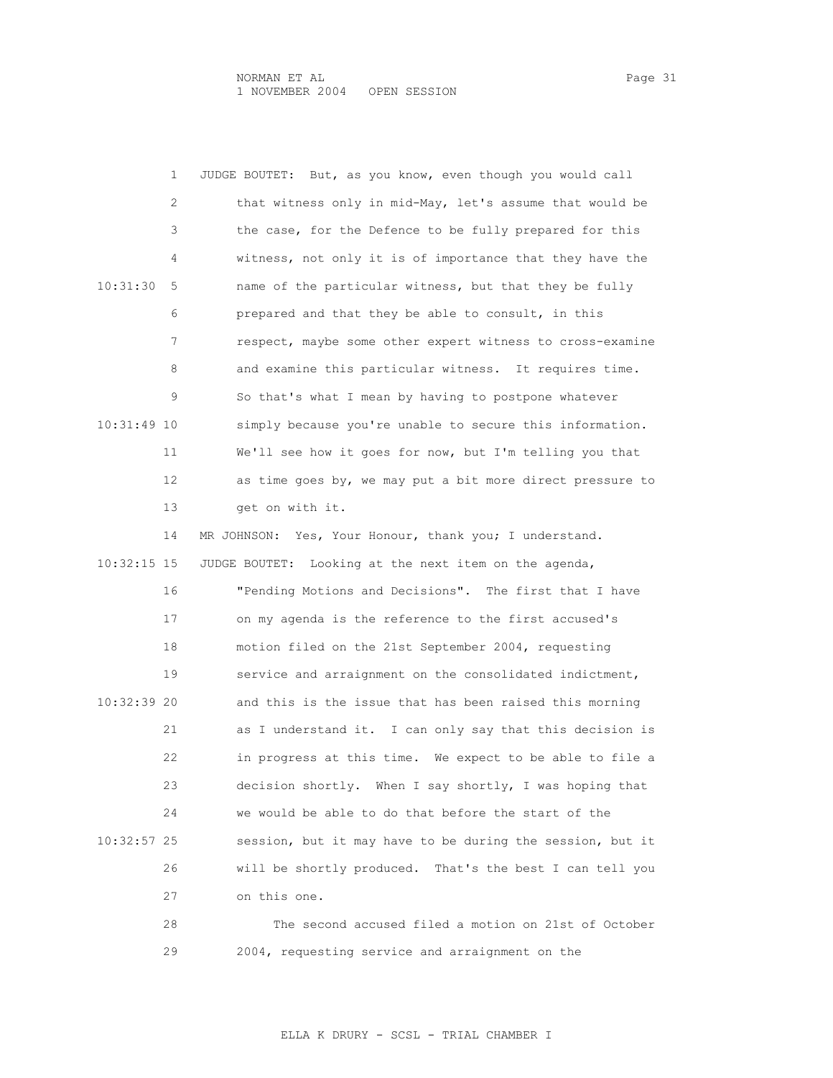|               | 1  | But, as you know, even though you would call<br>JUDGE BOUTET: |
|---------------|----|---------------------------------------------------------------|
|               | 2  | that witness only in mid-May, let's assume that would be      |
|               | 3  | the case, for the Defence to be fully prepared for this       |
|               | 4  | witness, not only it is of importance that they have the      |
| 10:31:30      | 5  | name of the particular witness, but that they be fully        |
|               | 6  | prepared and that they be able to consult, in this            |
|               | 7  | respect, maybe some other expert witness to cross-examine     |
|               | 8  | and examine this particular witness. It requires time.        |
|               | 9  | So that's what I mean by having to postpone whatever          |
| 10:31:49 10   |    | simply because you're unable to secure this information.      |
|               | 11 | We'll see how it goes for now, but I'm telling you that       |
|               | 12 | as time goes by, we may put a bit more direct pressure to     |
|               | 13 | get on with it.                                               |
|               | 14 | MR JOHNSON: Yes, Your Honour, thank you; I understand.        |
| $10:32:15$ 15 |    | Looking at the next item on the agenda,<br>JUDGE BOUTET:      |
|               | 16 | "Pending Motions and Decisions". The first that I have        |
|               | 17 | on my agenda is the reference to the first accused's          |
|               | 18 | motion filed on the 21st September 2004, requesting           |
|               | 19 |                                                               |
|               |    | service and arraignment on the consolidated indictment,       |
| 10:32:39 20   |    | and this is the issue that has been raised this morning       |
|               | 21 | as I understand it. I can only say that this decision is      |
|               | 22 | in progress at this time. We expect to be able to file a      |
|               | 23 | decision shortly. When I say shortly, I was hoping that       |
|               | 24 | we would be able to do that before the start of the           |
| $10:32:57$ 25 |    | session, but it may have to be during the session, but it     |
|               | 26 | will be shortly produced. That's the best I can tell you      |
|               | 27 | on this one.                                                  |

29 2004, requesting service and arraignment on the

ELLA K DRURY - SCSL - TRIAL CHAMBER I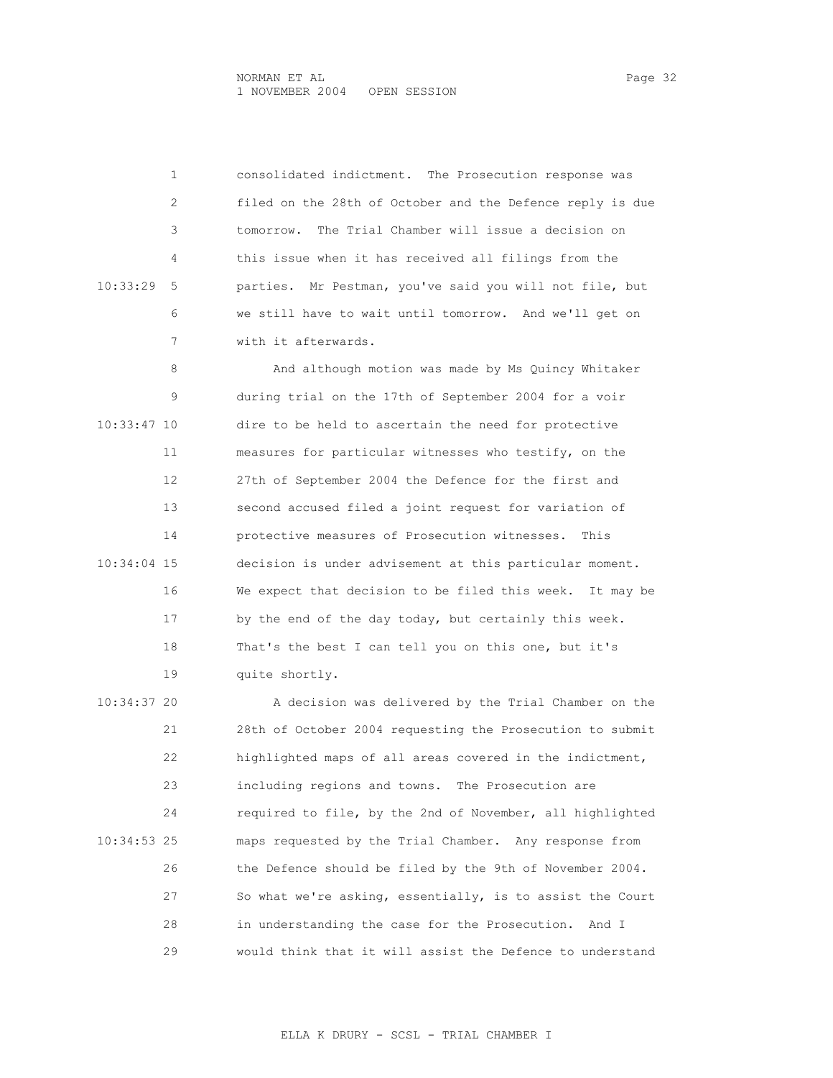1 consolidated indictment. The Prosecution response was 2 filed on the 28th of October and the Defence reply is due 3 tomorrow. The Trial Chamber will issue a decision on 4 this issue when it has received all filings from the 10:33:29 5 parties. Mr Pestman, you've said you will not file, but 6 we still have to wait until tomorrow. And we'll get on 7 with it afterwards.

8 And although motion was made by Ms Quincy Whitaker 9 during trial on the 17th of September 2004 for a voir 10:33:47 10 dire to be held to ascertain the need for protective 11 measures for particular witnesses who testify, on the 12 27th of September 2004 the Defence for the first and 13 second accused filed a joint request for variation of 14 protective measures of Prosecution witnesses. This 10:34:04 15 decision is under advisement at this particular moment. 16 We expect that decision to be filed this week. It may be 17 by the end of the day today, but certainly this week. 18 That's the best I can tell you on this one, but it's 19 quite shortly.

 10:34:37 20 A decision was delivered by the Trial Chamber on the 21 28th of October 2004 requesting the Prosecution to submit 22 highlighted maps of all areas covered in the indictment, 23 including regions and towns. The Prosecution are 24 required to file, by the 2nd of November, all highlighted 10:34:53 25 maps requested by the Trial Chamber. Any response from 26 the Defence should be filed by the 9th of November 2004. 27 So what we're asking, essentially, is to assist the Court 28 in understanding the case for the Prosecution. And I 29 would think that it will assist the Defence to understand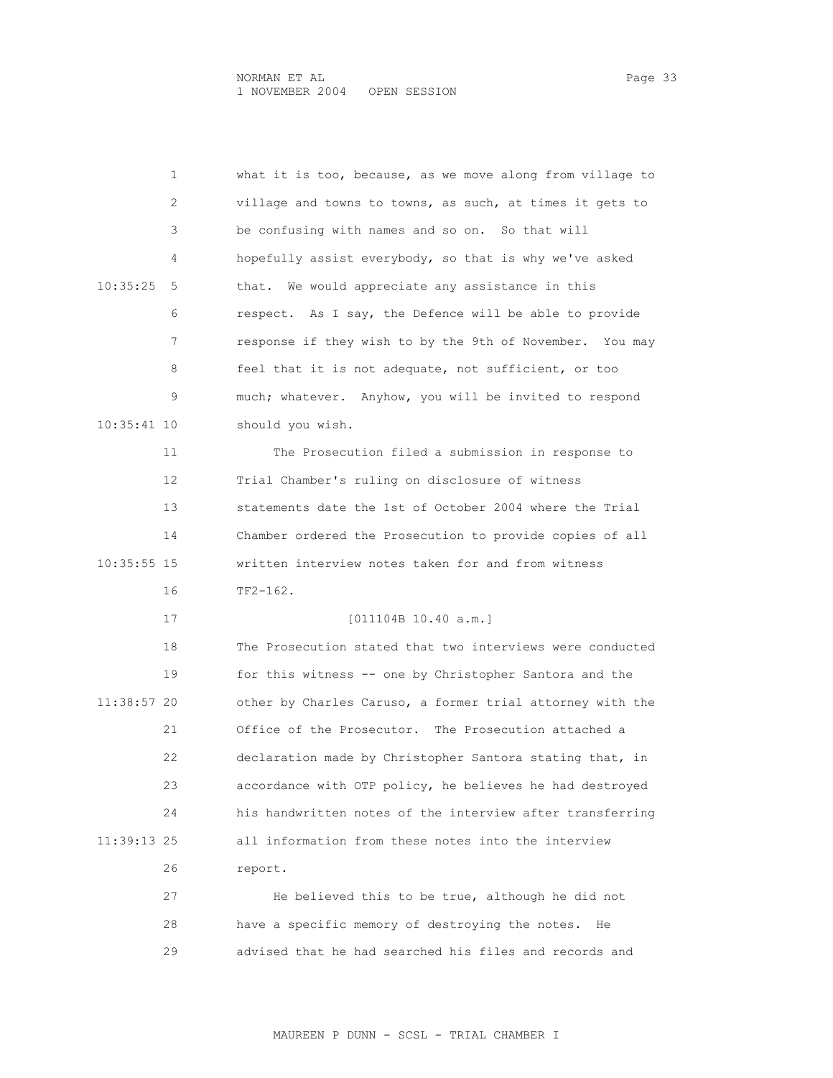|             | 1  | what it is too, because, as we move along from village to |
|-------------|----|-----------------------------------------------------------|
|             | 2  | village and towns to towns, as such, at times it gets to  |
|             | 3  | be confusing with names and so on. So that will           |
|             | 4  | hopefully assist everybody, so that is why we've asked    |
| 10:35:25    | 5  | We would appreciate any assistance in this<br>that.       |
|             | 6  | respect. As I say, the Defence will be able to provide    |
|             | 7  | response if they wish to by the 9th of November. You may  |
|             | 8  | feel that it is not adequate, not sufficient, or too      |
|             | 9  | much; whatever. Anyhow, you will be invited to respond    |
| 10:35:41 10 |    | should you wish.                                          |
|             | 11 | The Prosecution filed a submission in response to         |
|             | 12 | Trial Chamber's ruling on disclosure of witness           |
|             | 13 | statements date the 1st of October 2004 where the Trial   |
|             | 14 | Chamber ordered the Prosecution to provide copies of all  |
| 10:35:55 15 |    | written interview notes taken for and from witness        |
|             | 16 | $TF2-162.$                                                |
|             | 17 | [011104B 10.40 a.m.]                                      |
|             |    |                                                           |
|             | 18 | The Prosecution stated that two interviews were conducted |
|             | 19 | for this witness -- one by Christopher Santora and the    |
| 11:38:57 20 |    | other by Charles Caruso, a former trial attorney with the |
|             | 21 | Office of the Prosecutor. The Prosecution attached a      |
|             | 22 | declaration made by Christopher Santora stating that, in  |
|             | 23 | accordance with OTP policy, he believes he had destroyed  |
|             | 24 | his handwritten notes of the interview after transferring |
| 11:39:13 25 |    | all information from these notes into the interview       |
|             | 26 | report.                                                   |
|             | 27 | He believed this to be true, although he did not          |

29 advised that he had searched his files and records and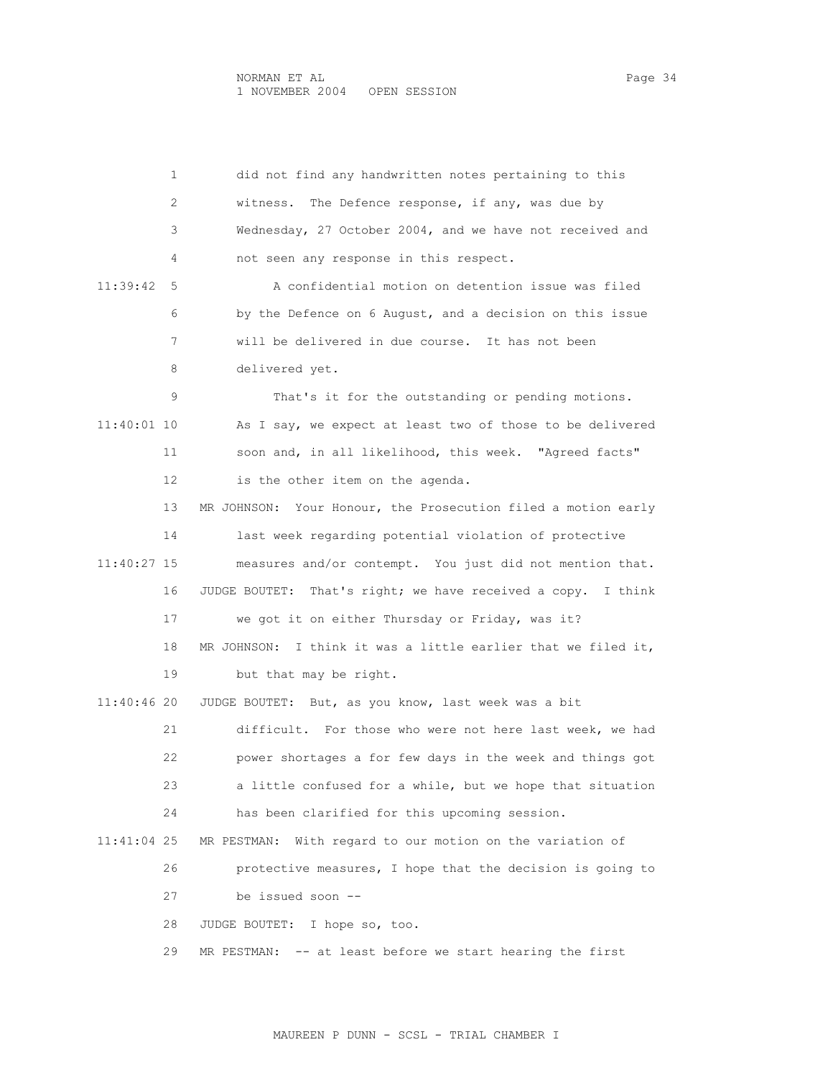1 did not find any handwritten notes pertaining to this 2 witness. The Defence response, if any, was due by 3 Wednesday, 27 October 2004, and we have not received and 4 not seen any response in this respect. 11:39:42 5 A confidential motion on detention issue was filed 6 by the Defence on 6 August, and a decision on this issue 7 will be delivered in due course. It has not been 8 delivered yet. 9 That's it for the outstanding or pending motions. 11:40:01 10 As I say, we expect at least two of those to be delivered 11 soon and, in all likelihood, this week. "Agreed facts" 12 is the other item on the agenda. 13 MR JOHNSON: Your Honour, the Prosecution filed a motion early 14 last week regarding potential violation of protective 11:40:27 15 measures and/or contempt. You just did not mention that. 16 JUDGE BOUTET: That's right; we have received a copy. I think 17 we got it on either Thursday or Friday, was it? 18 MR JOHNSON: I think it was a little earlier that we filed it, 19 but that may be right. 11:40:46 20 JUDGE BOUTET: But, as you know, last week was a bit 21 difficult. For those who were not here last week, we had 22 power shortages a for few days in the week and things got 23 a little confused for a while, but we hope that situation 24 has been clarified for this upcoming session. 11:41:04 25 MR PESTMAN: With regard to our motion on the variation of 26 protective measures, I hope that the decision is going to 27 be issued soon -- 28 JUDGE BOUTET: I hope so, too. 29 MR PESTMAN: -- at least before we start hearing the first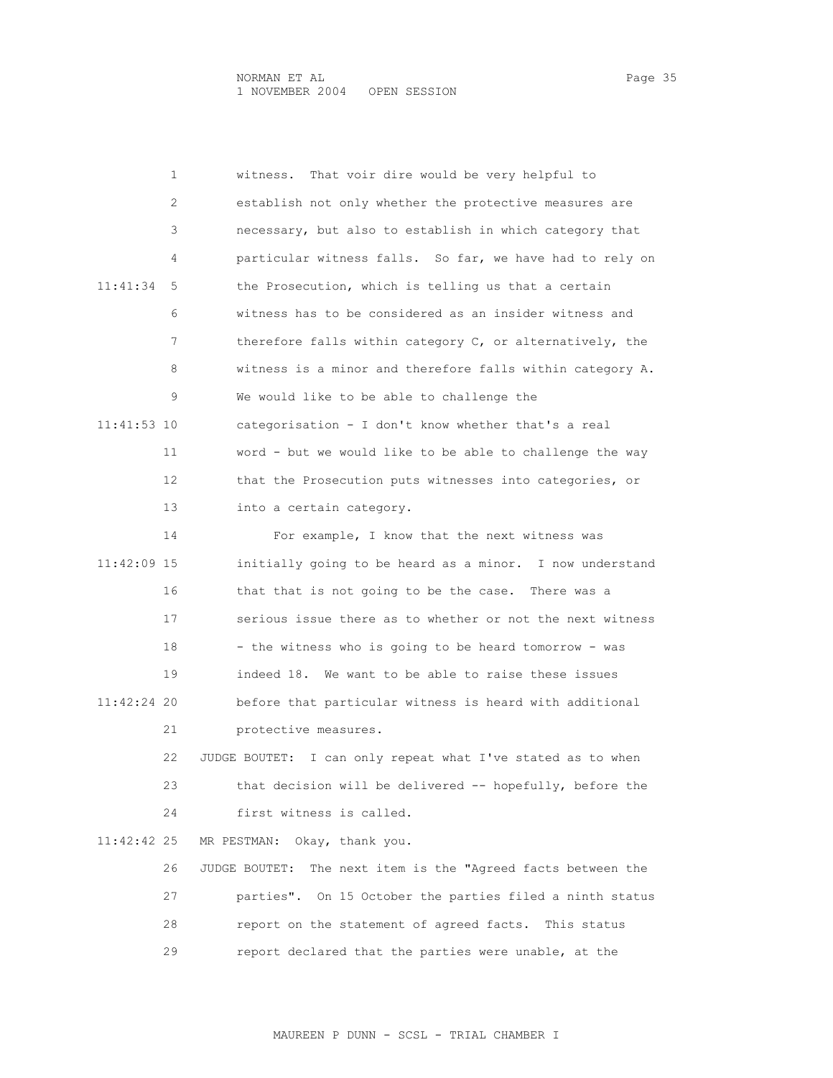| 1             | That voir dire would be very helpful to<br>witness.             |
|---------------|-----------------------------------------------------------------|
| 2             | establish not only whether the protective measures are          |
| 3             | necessary, but also to establish in which category that         |
| 4             | particular witness falls. So far, we have had to rely on        |
| 11:41:34<br>5 | the Prosecution, which is telling us that a certain             |
| 6             | witness has to be considered as an insider witness and          |
| 7             | therefore falls within category C, or alternatively, the        |
| 8             | witness is a minor and therefore falls within category A.       |
| 9             | We would like to be able to challenge the                       |
| 11:41:53 10   | categorisation - I don't know whether that's a real             |
| 11            | word - but we would like to be able to challenge the way        |
| 12            | that the Prosecution puts witnesses into categories, or         |
| 13            | into a certain category.                                        |
| 14            | For example, I know that the next witness was                   |
| 11:42:09 15   | initially going to be heard as a minor. I now understand        |
| 16            | that that is not going to be the case. There was a              |
| 17            | serious issue there as to whether or not the next witness       |
| 18            | - the witness who is going to be heard tomorrow - was           |
| 19            | indeed 18. We want to be able to raise these issues             |
| 11:42:24 20   | before that particular witness is heard with additional         |
| 21            | protective measures.                                            |
| 22            | I can only repeat what I've stated as to when<br>JUDGE BOUTET:  |
| 23            | that decision will be delivered -- hopefully, before the        |
| 24            | first witness is called.                                        |
| 11:42:42 25   | Okay, thank you.<br>MR PESTMAN:                                 |
| 26            | The next item is the "Agreed facts between the<br>JUDGE BOUTET: |
| 27            | parties". On 15 October the parties filed a ninth status        |
| 28            | report on the statement of agreed facts. This status            |
| 29            | report declared that the parties were unable, at the            |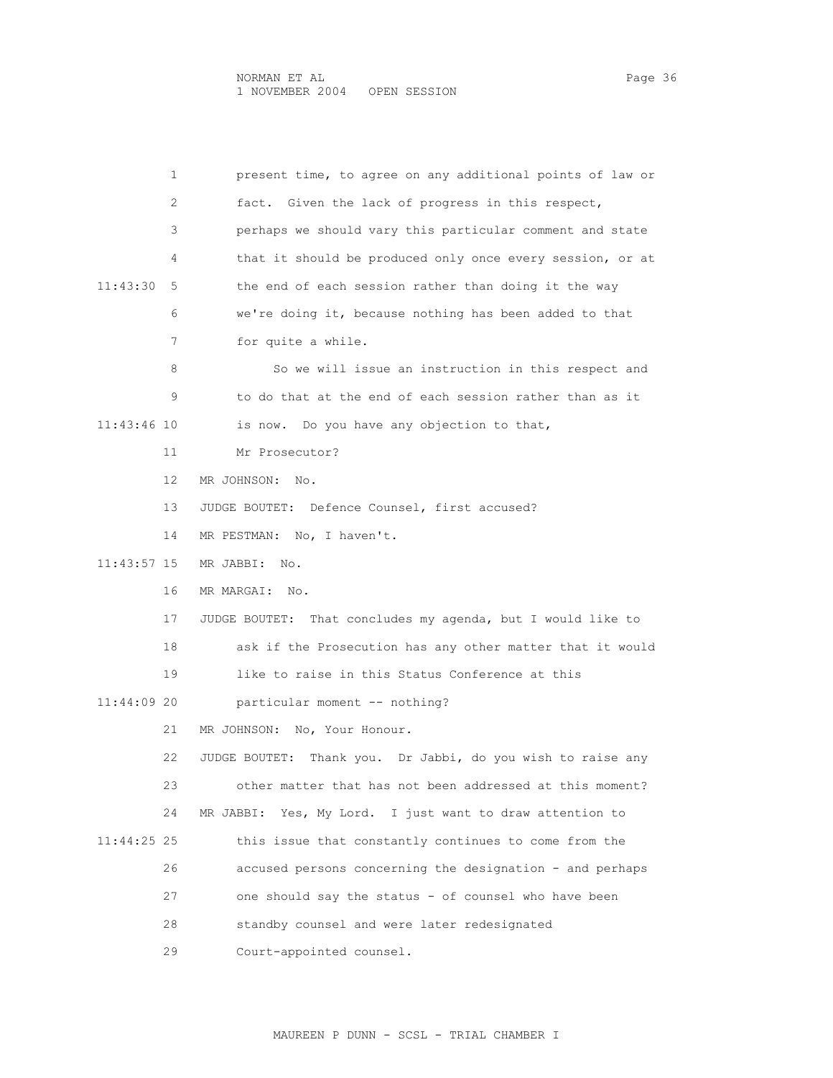| 1             | present time, to agree on any additional points of law or      |
|---------------|----------------------------------------------------------------|
| 2             | fact. Given the lack of progress in this respect,              |
| 3             | perhaps we should vary this particular comment and state       |
| 4             | that it should be produced only once every session, or at      |
| 11:43:30<br>5 | the end of each session rather than doing it the way           |
| 6             | we're doing it, because nothing has been added to that         |
| 7             | for quite a while.                                             |
| 8             | So we will issue an instruction in this respect and            |
| 9             | to do that at the end of each session rather than as it        |
| 11:43:46 10   | is now. Do you have any objection to that,                     |
| 11            | Mr Prosecutor?                                                 |
| 12            | MR JOHNSON:<br>No.                                             |
| 13            | JUDGE BOUTET: Defence Counsel, first accused?                  |
| 14            | MR PESTMAN: No, I haven't.                                     |
| 11:43:57 15   | MR JABBI: No.                                                  |
| 16            | MR MARGAI:<br>No.                                              |
| 17            | That concludes my agenda, but I would like to<br>JUDGE BOUTET: |
| 18            | ask if the Prosecution has any other matter that it would      |
| 19            | like to raise in this Status Conference at this                |
| 11:44:09 20   | particular moment -- nothing?                                  |
| 21            | MR JOHNSON:<br>No, Your Honour.                                |
| 22            | Thank you. Dr Jabbi, do you wish to raise any<br>JUDGE BOUTET: |
| 23            | other matter that has not been addressed at this moment?       |
| 24            | Yes, My Lord. I just want to draw attention to<br>MR JABBI:    |
| 11:44:25 25   | this issue that constantly continues to come from the          |
| 26            | accused persons concerning the designation - and perhaps       |
| 27            | one should say the status - of counsel who have been           |
| 28            | standby counsel and were later redesignated                    |
| 29            | Court-appointed counsel.                                       |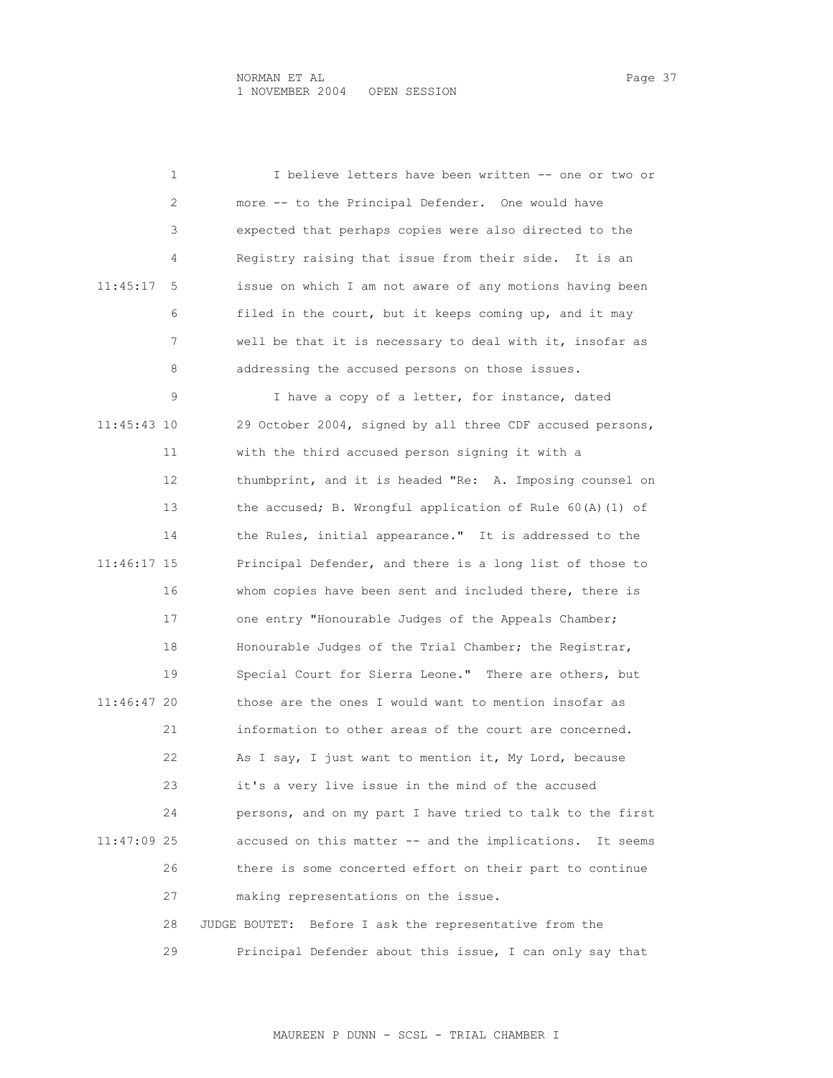1 I believe letters have been written -- one or two or 2 more -- to the Principal Defender. One would have 3 expected that perhaps copies were also directed to the 4 Registry raising that issue from their side. It is an 11:45:17 5 issue on which I am not aware of any motions having been 6 filed in the court, but it keeps coming up, and it may 7 well be that it is necessary to deal with it, insofar as 8 addressing the accused persons on those issues. 9 I have a copy of a letter, for instance, dated 11:45:43 10 29 October 2004, signed by all three CDF accused persons, 11 with the third accused person signing it with a 12 thumbprint, and it is headed "Re: A. Imposing counsel on 13 the accused; B. Wrongful application of Rule 60(A)(1) of 14 the Rules, initial appearance." It is addressed to the 11:46:17 15 Principal Defender, and there is a long list of those to 16 whom copies have been sent and included there, there is 17 one entry "Honourable Judges of the Appeals Chamber; 18 Honourable Judges of the Trial Chamber; the Registrar, 19 Special Court for Sierra Leone." There are others, but 11:46:47 20 those are the ones I would want to mention insofar as 21 information to other areas of the court are concerned. 22 As I say, I just want to mention it, My Lord, because 23 it's a very live issue in the mind of the accused 24 persons, and on my part I have tried to talk to the first 11:47:09 25 accused on this matter -- and the implications. It seems 26 there is some concerted effort on their part to continue 27 making representations on the issue. 28 JUDGE BOUTET: Before I ask the representative from the 29 Principal Defender about this issue, I can only say that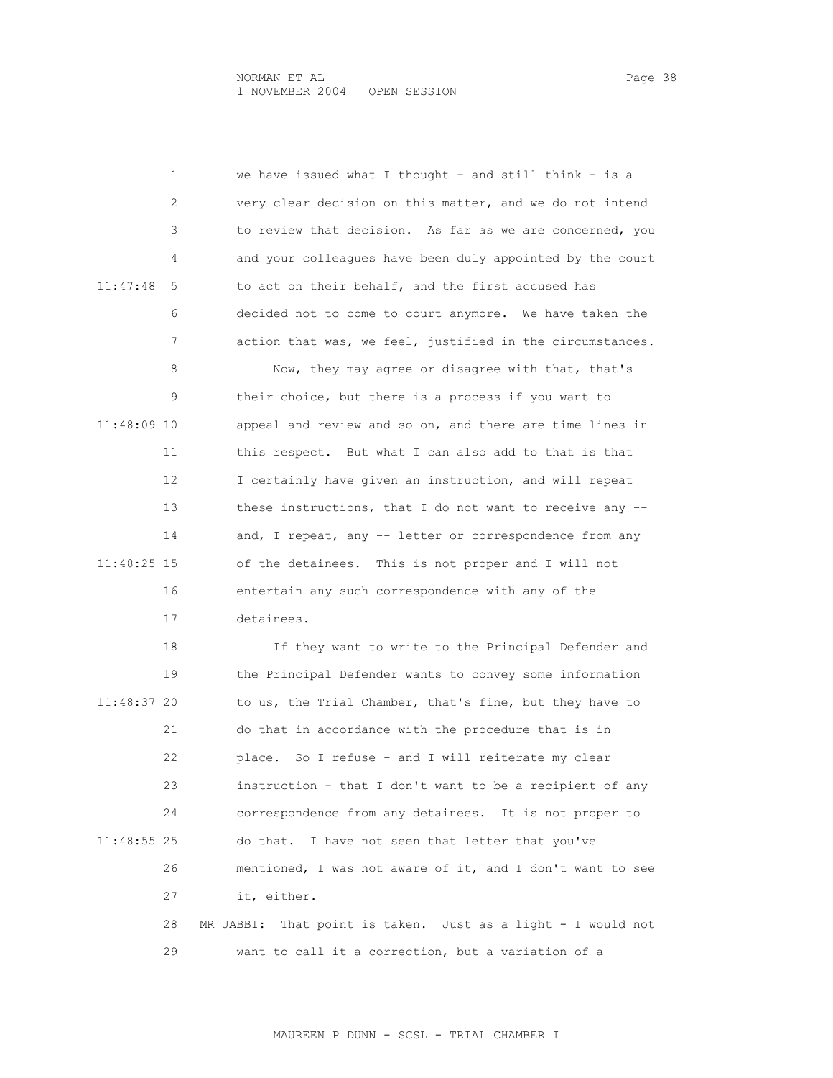1 we have issued what I thought - and still think - is a 2 very clear decision on this matter, and we do not intend 3 to review that decision. As far as we are concerned, you 4 and your colleagues have been duly appointed by the court 11:47:48 5 to act on their behalf, and the first accused has 6 decided not to come to court anymore. We have taken the 7 action that was, we feel, justified in the circumstances. 8 Now, they may agree or disagree with that, that's 9 their choice, but there is a process if you want to 11:48:09 10 appeal and review and so on, and there are time lines in 11 this respect. But what I can also add to that is that 12 I certainly have given an instruction, and will repeat 13 these instructions, that I do not want to receive any -- 14 and, I repeat, any -- letter or correspondence from any 11:48:25 15 of the detainees. This is not proper and I will not 16 entertain any such correspondence with any of the 17 detainees. 18 If they want to write to the Principal Defender and 19 the Principal Defender wants to convey some information 11:48:37 20 to us, the Trial Chamber, that's fine, but they have to 21 do that in accordance with the procedure that is in 22 place. So I refuse - and I will reiterate my clear 23 instruction - that I don't want to be a recipient of any 24 correspondence from any detainees. It is not proper to 11:48:55 25 do that. I have not seen that letter that you've 26 mentioned, I was not aware of it, and I don't want to see 27 it, either. 28 MR JABBI: That point is taken. Just as a light - I would not 29 want to call it a correction, but a variation of a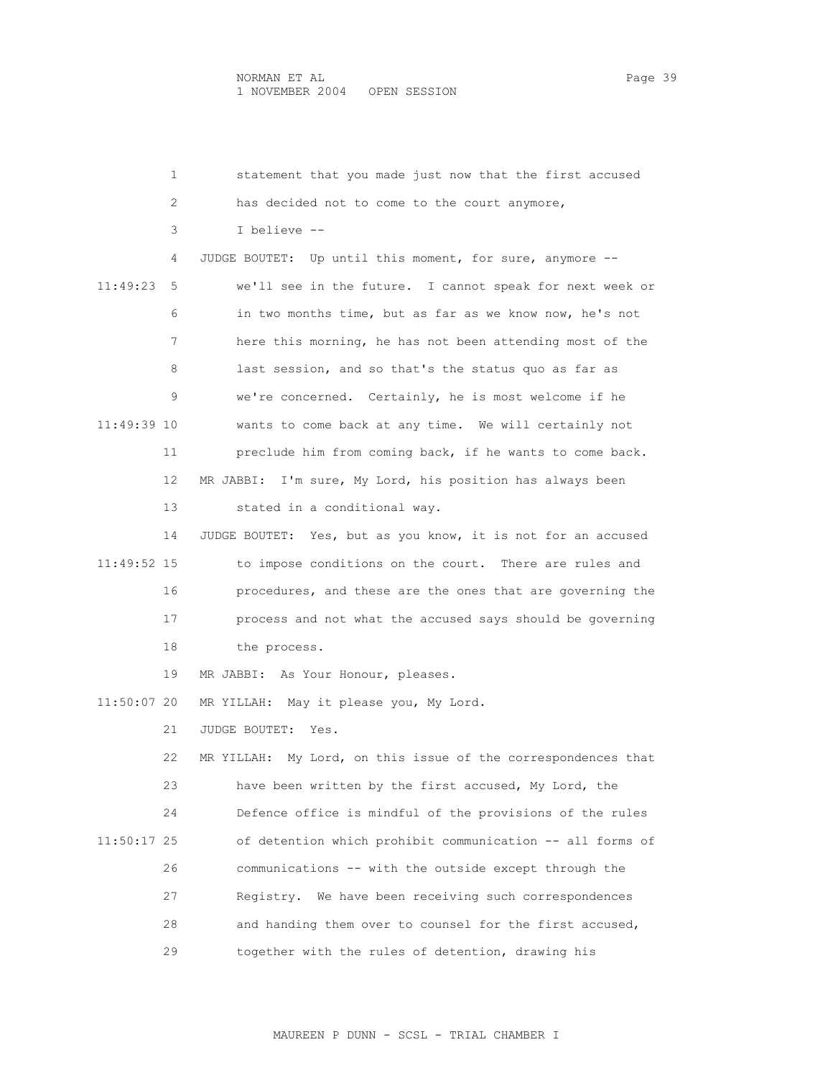| 1             | statement that you made just now that the first accused       |
|---------------|---------------------------------------------------------------|
| 2             | has decided not to come to the court anymore,                 |
| 3             | I believe --                                                  |
| 4             | JUDGE BOUTET: Up until this moment, for sure, anymore --      |
| 11:49:23<br>5 | we'll see in the future. I cannot speak for next week or      |
| 6             | in two months time, but as far as we know now, he's not       |
| 7             | here this morning, he has not been attending most of the      |
| 8             | last session, and so that's the status quo as far as          |
| 9             | we're concerned. Certainly, he is most welcome if he          |
| 11:49:39 10   | wants to come back at any time. We will certainly not         |
| 11            | preclude him from coming back, if he wants to come back.      |
| 12            | MR JABBI: I'm sure, My Lord, his position has always been     |
| 13            | stated in a conditional way.                                  |
| 14            | JUDGE BOUTET: Yes, but as you know, it is not for an accused  |
| 11:49:52 15   | to impose conditions on the court. There are rules and        |
| 16            | procedures, and these are the ones that are governing the     |
| 17            | process and not what the accused says should be governing     |
| 18            | the process.                                                  |
| 19            | MR JABBI: As Your Honour, pleases.                            |
| 11:50:07 20   | MR YILLAH: May it please you, My Lord.                        |
| 21            | JUDGE BOUTET:<br>Yes.                                         |
| 22            | MR YILLAH: My Lord, on this issue of the correspondences that |
| 23            | have been written by the first accused, My Lord, the          |
| 24            | Defence office is mindful of the provisions of the rules      |
| 11:50:17 25   | of detention which prohibit communication -- all forms of     |
| 26            | communications -- with the outside except through the         |
| 27            | Registry. We have been receiving such correspondences         |
| 28            | and handing them over to counsel for the first accused,       |
| 29            | together with the rules of detention, drawing his             |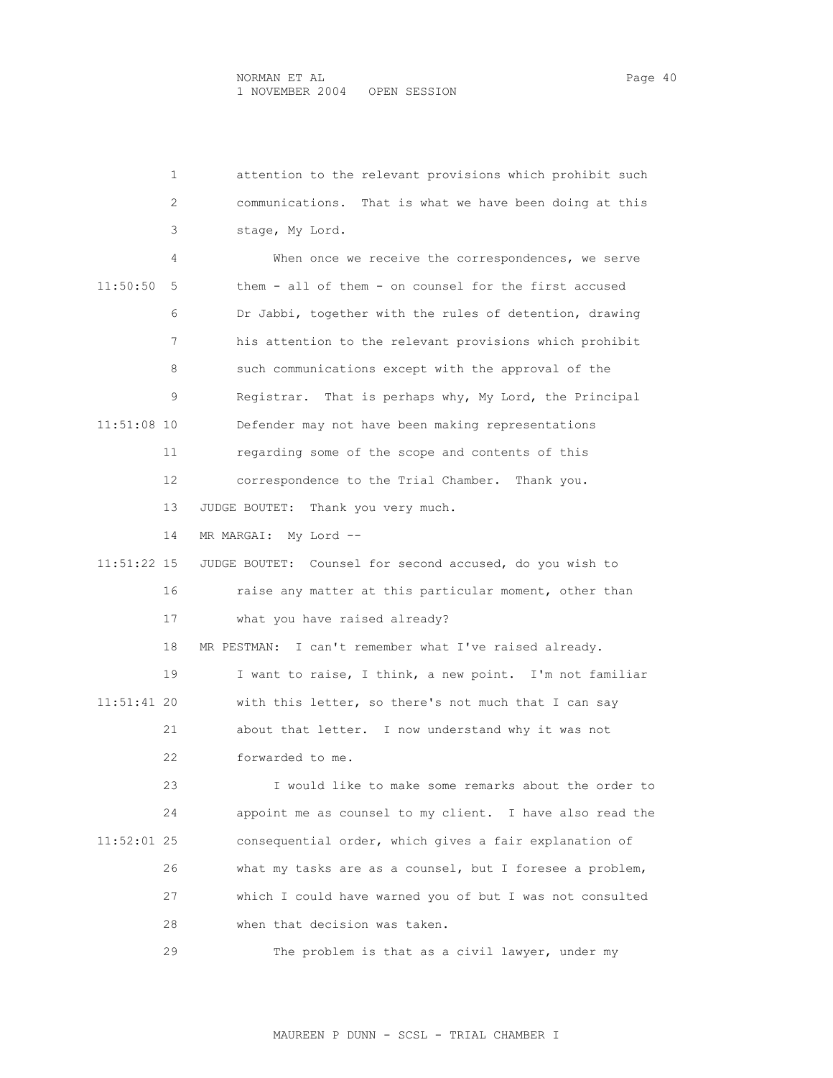| ane |  |
|-----|--|
|     |  |

| 1             | attention to the relevant provisions which prohibit such  |
|---------------|-----------------------------------------------------------|
| 2             | communications. That is what we have been doing at this   |
| 3             | stage, My Lord.                                           |
| 4             | When once we receive the correspondences, we serve        |
| 11:50:50<br>5 | them - all of them - on counsel for the first accused     |
| 6             | Dr Jabbi, together with the rules of detention, drawing   |
| 7             | his attention to the relevant provisions which prohibit   |
| 8             | such communications except with the approval of the       |
| 9             | Registrar. That is perhaps why, My Lord, the Principal    |
| 11:51:08 10   | Defender may not have been making representations         |
| 11            | regarding some of the scope and contents of this          |
| 12            | correspondence to the Trial Chamber.<br>Thank you.        |
| 13            | JUDGE BOUTET: Thank you very much.                        |
| 14            | My Lord --<br>MR MARGAI:                                  |
| 11:51:22 15   | JUDGE BOUTET: Counsel for second accused, do you wish to  |
| 16            | raise any matter at this particular moment, other than    |
| 17            | what you have raised already?                             |
| 18            | I can't remember what I've raised already.<br>MR PESTMAN: |
| 19            | I want to raise, I think, a new point. I'm not familiar   |
| 11:51:41 20   | with this letter, so there's not much that I can say      |
| 21            | about that letter. I now understand why it was not        |
| 22            | forwarded to me.                                          |
| 23            | I would like to make some remarks about the order to      |
| 24            | appoint me as counsel to my client. I have also read the  |
| $11:52:01$ 25 | consequential order, which gives a fair explanation of    |
| 26            | what my tasks are as a counsel, but I foresee a problem,  |
| 27            | which I could have warned you of but I was not consulted  |
| 28            | when that decision was taken.                             |
| 29            | The problem is that as a civil lawyer, under my           |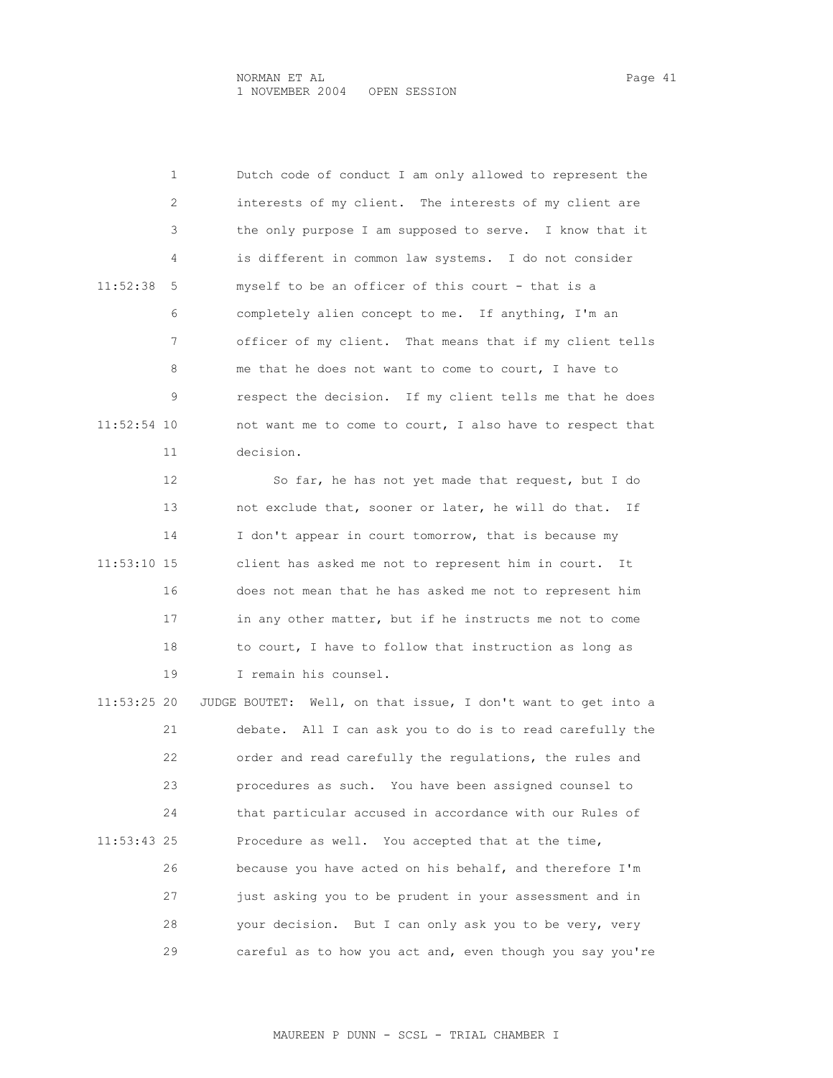1 Dutch code of conduct I am only allowed to represent the 2 interests of my client. The interests of my client are 3 the only purpose I am supposed to serve. I know that it 4 is different in common law systems. I do not consider 11:52:38 5 myself to be an officer of this court - that is a 6 completely alien concept to me. If anything, I'm an 7 officer of my client. That means that if my client tells 8 me that he does not want to come to court, I have to 9 respect the decision. If my client tells me that he does 11:52:54 10 not want me to come to court, I also have to respect that 11 decision.

 12 So far, he has not yet made that request, but I do 13 not exclude that, sooner or later, he will do that. If 14 I don't appear in court tomorrow, that is because my 11:53:10 15 client has asked me not to represent him in court. It 16 does not mean that he has asked me not to represent him 17 in any other matter, but if he instructs me not to come 18 to court, I have to follow that instruction as long as 19 I remain his counsel.

 11:53:25 20 JUDGE BOUTET: Well, on that issue, I don't want to get into a 21 debate. All I can ask you to do is to read carefully the 22 order and read carefully the regulations, the rules and 23 procedures as such. You have been assigned counsel to 24 that particular accused in accordance with our Rules of 11:53:43 25 Procedure as well. You accepted that at the time, 26 because you have acted on his behalf, and therefore I'm 27 just asking you to be prudent in your assessment and in 28 your decision. But I can only ask you to be very, very 29 careful as to how you act and, even though you say you're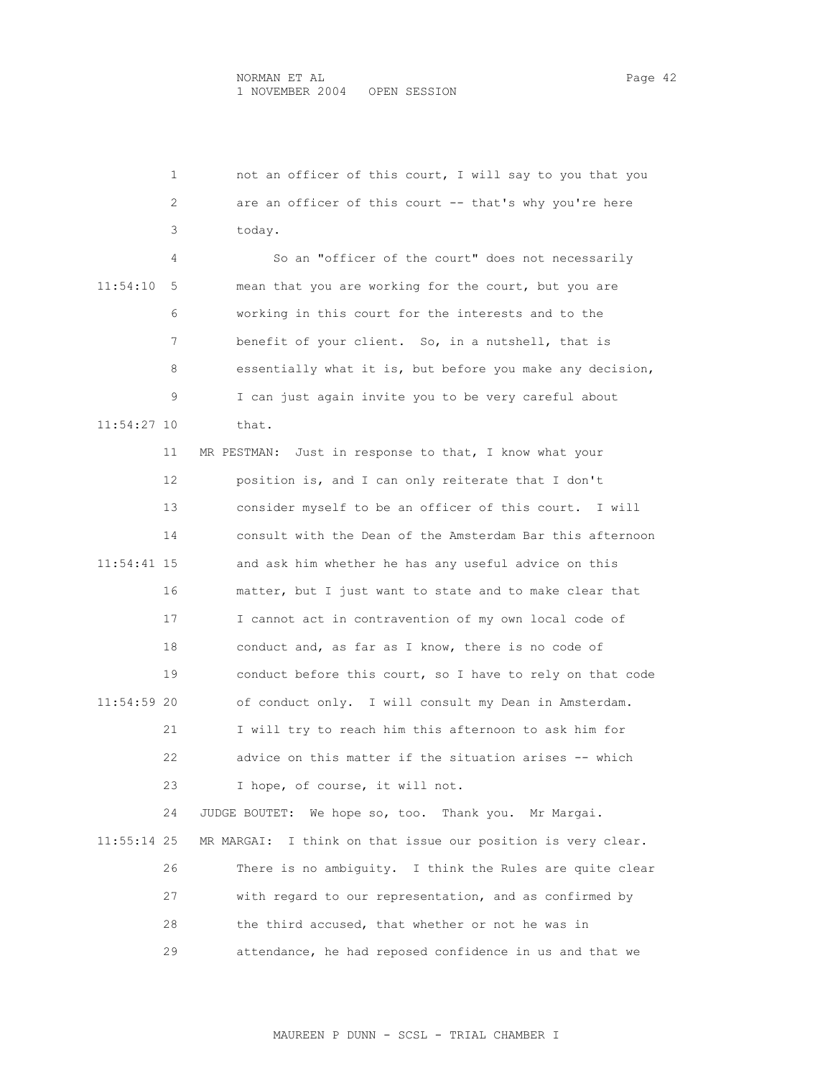|             | not an officer of this court, I will say to you that you<br>1   |
|-------------|-----------------------------------------------------------------|
|             | 2<br>are an officer of this court -- that's why you're here     |
|             | 3<br>today.                                                     |
|             | So an "officer of the court" does not necessarily<br>4          |
| 11:54:10    | 5<br>mean that you are working for the court, but you are       |
|             | working in this court for the interests and to the<br>6         |
|             | benefit of your client. So, in a nutshell, that is<br>7         |
|             | 8<br>essentially what it is, but before you make any decision,  |
|             | 9<br>I can just again invite you to be very careful about       |
| 11:54:27 10 | that.                                                           |
| 11          | MR PESTMAN: Just in response to that, I know what your          |
| 12          | position is, and I can only reiterate that I don't              |
| 13          | consider myself to be an officer of this court.<br>I will       |
| 14          | consult with the Dean of the Amsterdam Bar this afternoon       |
| 11:54:41 15 | and ask him whether he has any useful advice on this            |
| 16          | matter, but I just want to state and to make clear that         |
| 17          | I cannot act in contravention of my own local code of           |
| 18          | conduct and, as far as I know, there is no code of              |
| 19          | conduct before this court, so I have to rely on that code       |
| 11:54:59 20 | of conduct only. I will consult my Dean in Amsterdam.           |
| 21          | I will try to reach him this afternoon to ask him for           |
| 22          | advice on this matter if the situation arises -- which          |
| 23          | I hope, of course, it will not.                                 |
| 24          | JUDGE BOUTET:<br>We hope so, too. Thank you. Mr Margai.         |
| 11:55:14 25 | I think on that issue our position is very clear.<br>MR MARGAI: |
| 26          | There is no ambiguity. I think the Rules are quite clear        |
| 27          | with regard to our representation, and as confirmed by          |
| 28          | the third accused, that whether or not he was in                |
| 29          | attendance, he had reposed confidence in us and that we         |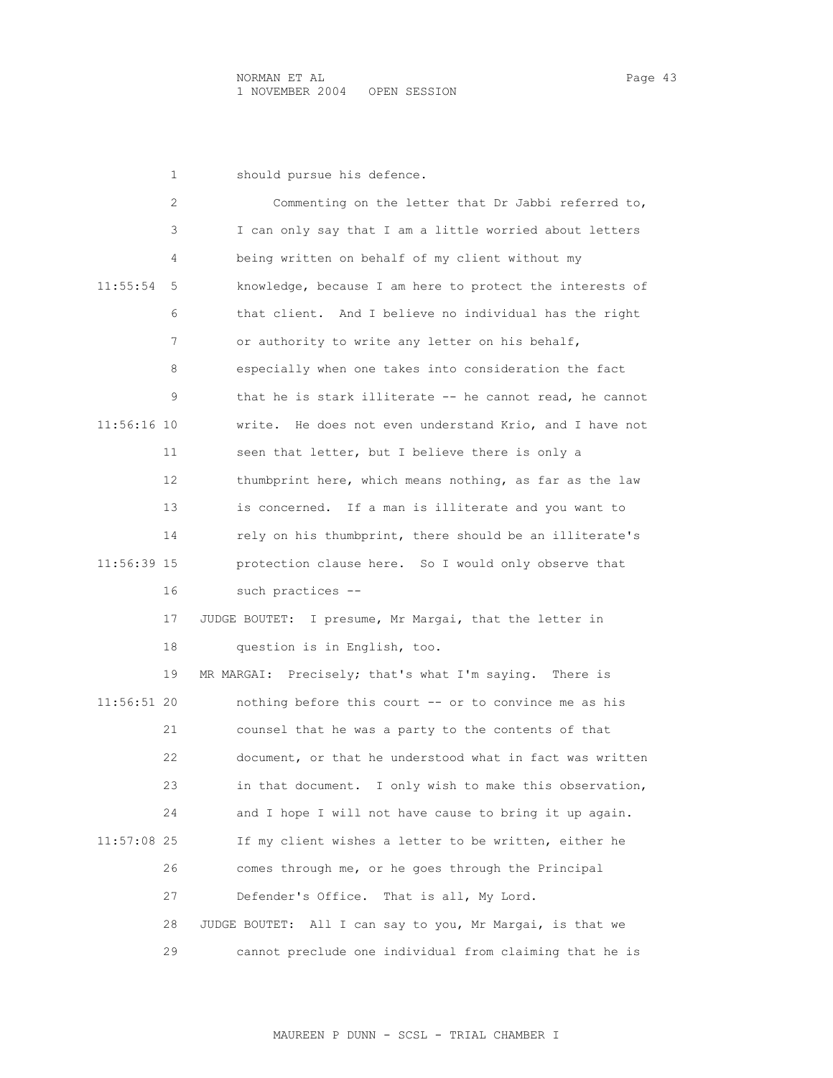|             | 1  | should pursue his defence.                                |
|-------------|----|-----------------------------------------------------------|
|             | 2  | Commenting on the letter that Dr Jabbi referred to,       |
|             | 3  | I can only say that I am a little worried about letters   |
|             | 4  | being written on behalf of my client without my           |
| 11:55:54    | 5  | knowledge, because I am here to protect the interests of  |
|             | 6  | that client. And I believe no individual has the right    |
|             | 7  | or authority to write any letter on his behalf,           |
|             | 8  | especially when one takes into consideration the fact     |
|             | 9  | that he is stark illiterate $-$ he cannot read, he cannot |
| 11:56:16 10 |    | write. He does not even understand Krio, and I have not   |
|             | 11 | seen that letter, but I believe there is only a           |
|             | 12 | thumbprint here, which means nothing, as far as the law   |
|             | 13 | is concerned. If a man is illiterate and you want to      |
|             | 14 | rely on his thumbprint, there should be an illiterate's   |
| 11:56:39 15 |    | protection clause here. So I would only observe that      |
|             | 16 | such practices --                                         |
|             | 17 | JUDGE BOUTET: I presume, Mr Margai, that the letter in    |
|             | 18 | question is in English, too.                              |
|             | 19 | MR MARGAI: Precisely; that's what I'm saying. There is    |
| 11:56:51 20 |    | nothing before this court -- or to convince me as his     |
|             | 21 | counsel that he was a party to the contents of that       |
|             | 22 | document, or that he understood what in fact was written  |
|             | 23 | in that document. I only wish to make this observation,   |
|             | 24 | and I hope I will not have cause to bring it up again.    |
| 11:57:08 25 |    | If my client wishes a letter to be written, either he     |
|             | 26 | comes through me, or he goes through the Principal        |
|             | 27 | Defender's Office.<br>That is all, My Lord.               |
|             | 28 | JUDGE BOUTET: All I can say to you, Mr Margai, is that we |
|             | 29 | cannot preclude one individual from claiming that he is   |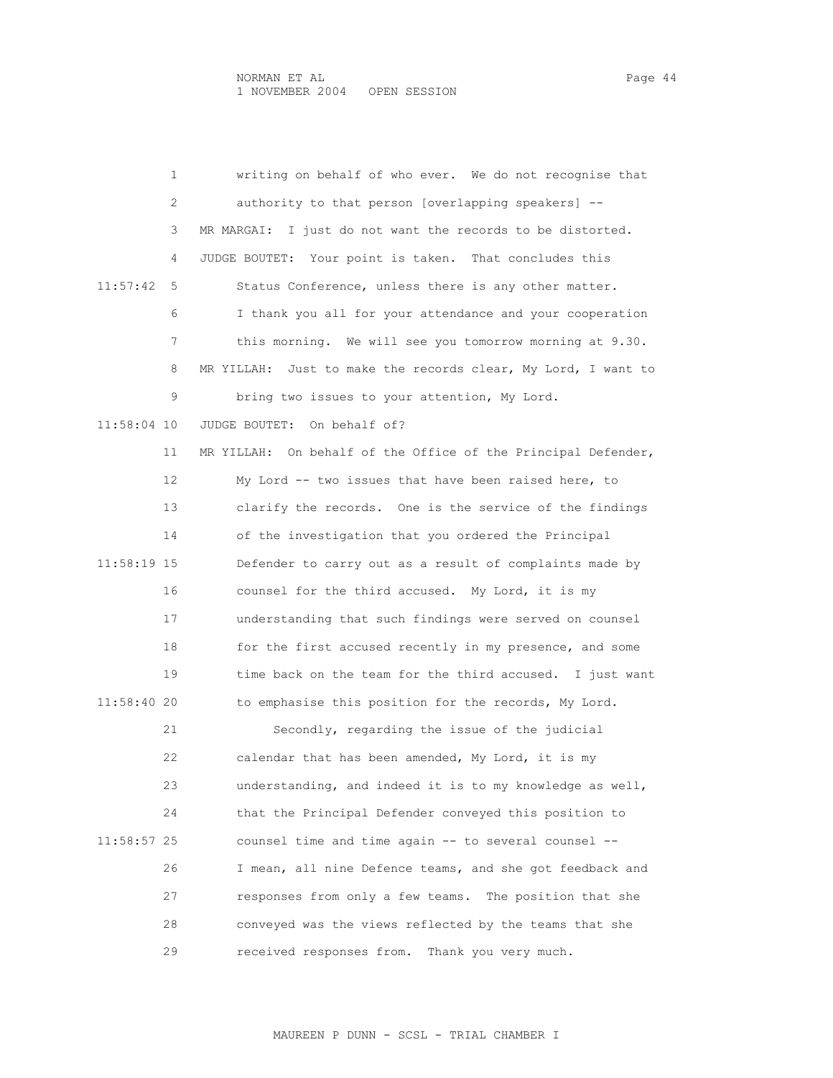1 writing on behalf of who ever. We do not recognise that 2 authority to that person [overlapping speakers] -- 3 MR MARGAI: I just do not want the records to be distorted. 4 JUDGE BOUTET: Your point is taken. That concludes this 11:57:42 5 Status Conference, unless there is any other matter. 6 I thank you all for your attendance and your cooperation 7 this morning. We will see you tomorrow morning at 9.30. 8 MR YILLAH: Just to make the records clear, My Lord, I want to 9 bring two issues to your attention, My Lord. 11:58:04 10 JUDGE BOUTET: On behalf of? 11 MR YILLAH: On behalf of the Office of the Principal Defender, 12 My Lord -- two issues that have been raised here, to 13 clarify the records. One is the service of the findings 14 of the investigation that you ordered the Principal 11:58:19 15 Defender to carry out as a result of complaints made by 16 counsel for the third accused. My Lord, it is my 17 understanding that such findings were served on counsel 18 for the first accused recently in my presence, and some 19 time back on the team for the third accused. I just want 11:58:40 20 to emphasise this position for the records, My Lord. 21 Secondly, regarding the issue of the judicial 22 calendar that has been amended, My Lord, it is my 23 understanding, and indeed it is to my knowledge as well, 24 that the Principal Defender conveyed this position to 11:58:57 25 counsel time and time again -- to several counsel -- 26 I mean, all nine Defence teams, and she got feedback and 27 responses from only a few teams. The position that she 28 conveyed was the views reflected by the teams that she 29 received responses from. Thank you very much.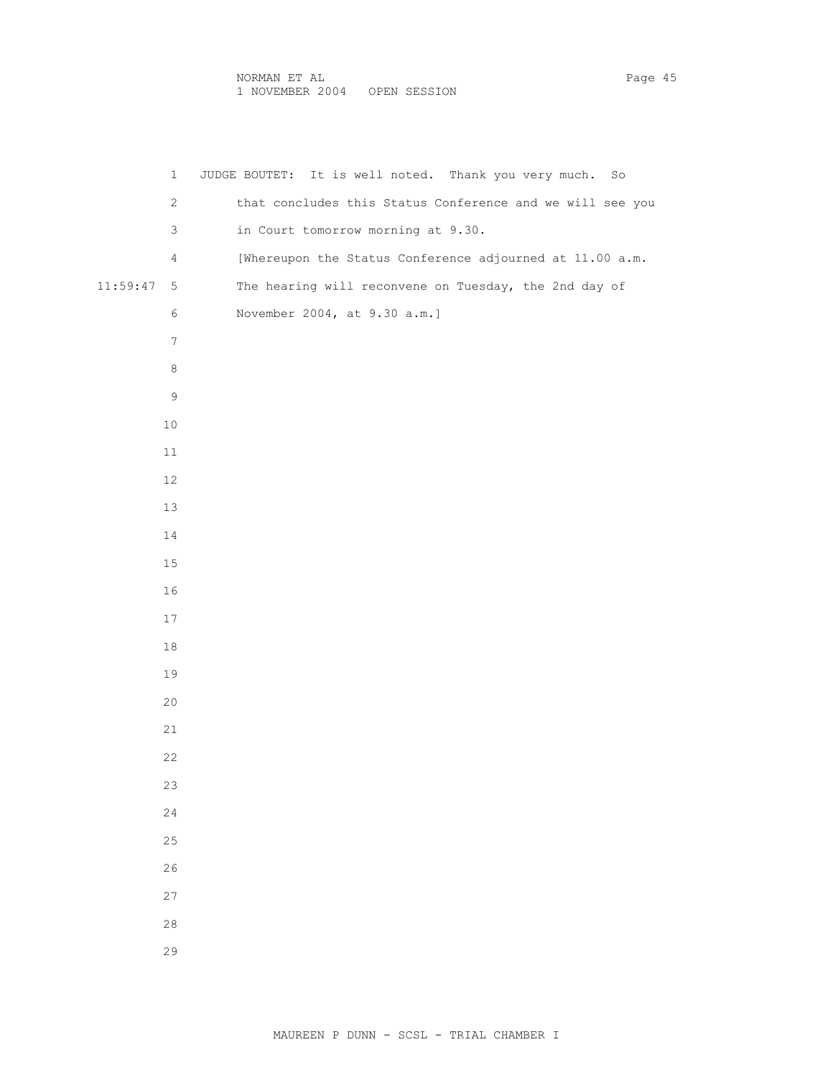|              | JUDGE BOUTET: It is well noted. Thank you very much. So<br>$\mathbf{1}$    |
|--------------|----------------------------------------------------------------------------|
|              | that concludes this Status Conference and we will see you<br>$\mathbf{2}$  |
|              | 3<br>in Court tomorrow morning at 9.30.                                    |
|              | [Whereupon the Status Conference adjourned at 11.00 a.m.<br>$\overline{4}$ |
| $11:59:47$ 5 | The hearing will reconvene on Tuesday, the 2nd day of                      |
|              | $\epsilon$<br>November 2004, at 9.30 a.m.]                                 |
|              | 7                                                                          |
|              | 8                                                                          |
|              | 9                                                                          |
| 10           |                                                                            |
| $11\,$       |                                                                            |
| 12           |                                                                            |
| 13           |                                                                            |
| 14           |                                                                            |
| 15           |                                                                            |
| $16\,$       |                                                                            |
| 17           |                                                                            |
| $18\,$       |                                                                            |
| 19           |                                                                            |
| 20           |                                                                            |
| 21           |                                                                            |
| 22           |                                                                            |
| 23           |                                                                            |
| 24           |                                                                            |
| 25           |                                                                            |
| 26           |                                                                            |
| $27$         |                                                                            |
| $2\,8$       |                                                                            |
| 29           |                                                                            |